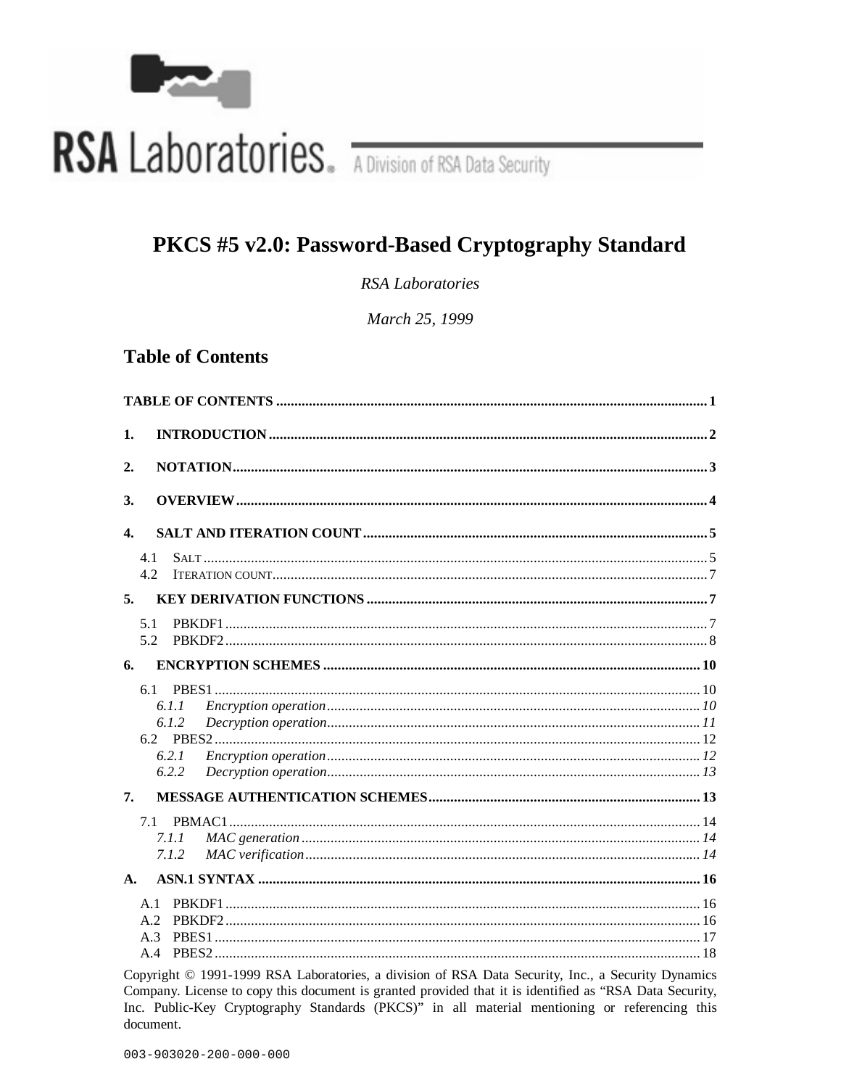

# RSA Laboratories. A Division of RSA Data Security

# PKCS #5 v2.0: Password-Based Cryptography Standard

RSA Laboratories

March 25, 1999

# **Table of Contents**

| 1.               |  |
|------------------|--|
| 2.               |  |
| <sup>3.</sup>    |  |
| $\overline{4}$ . |  |
| 4.1<br>4.2       |  |
| 5.               |  |
| 5.1<br>5.2       |  |
| 6.               |  |
| 6.1              |  |
| 6.1.1<br>6.1.2   |  |
|                  |  |
| 6.2.1            |  |
| 6.2.2            |  |
| 7.               |  |
| 7.1              |  |
| 7.1.1            |  |
| 7.1.2            |  |
| $\mathbf{A}$ .   |  |
| A.1              |  |
| A.2<br>A.3       |  |
| A.4              |  |
|                  |  |

Copyright © 1991-1999 RSA Laboratories, a division of RSA Data Security, Inc., a Security Dynamics Company. License to copy this document is granted provided that it is identified as "RSA Data Security, Inc. Public-Key Cryptography Standards (PKCS)" in all material mentioning or referencing this document.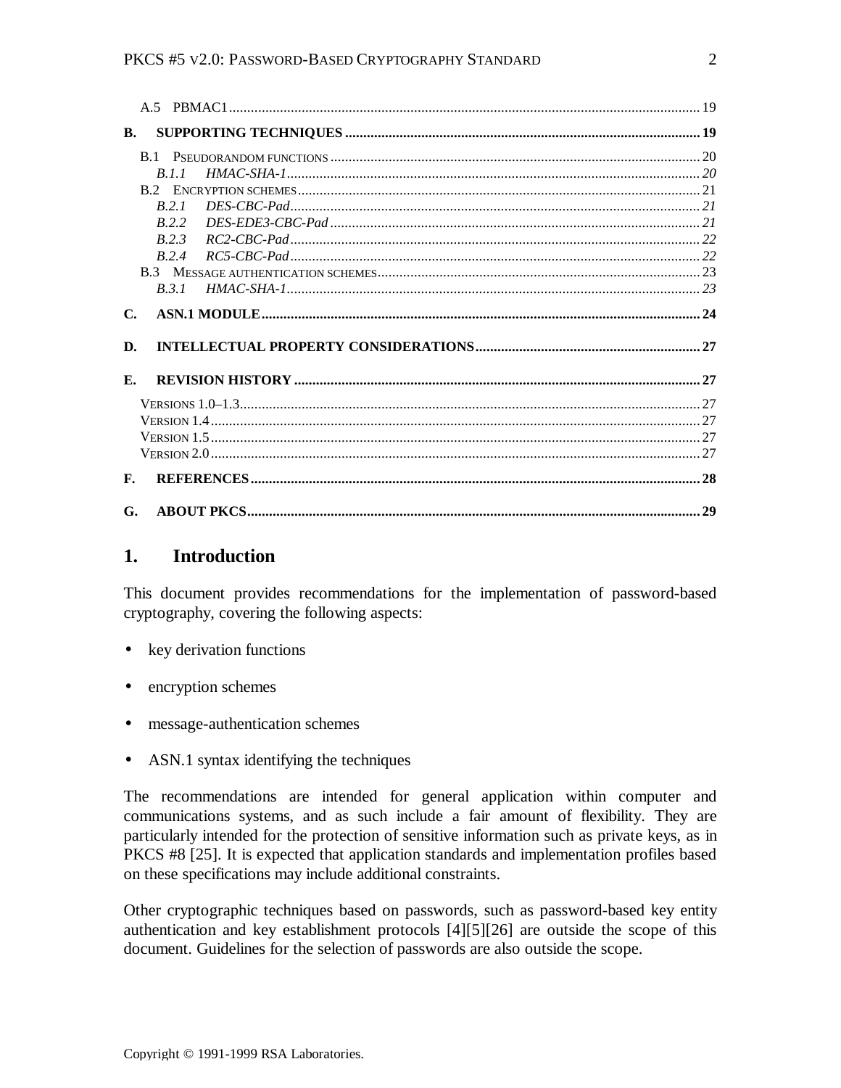#### PKCS #5 V2.0: PASSWORD-BASED CRYPTOGRAPHY STANDARD 2

| <b>B.</b>      |              |  |
|----------------|--------------|--|
|                |              |  |
|                | <i>R I I</i> |  |
|                |              |  |
|                | R.2.1        |  |
|                | R.2.2        |  |
|                | R.2.3        |  |
|                | R.2.4        |  |
|                |              |  |
|                | R.3.1        |  |
| $\mathbf{C}$ . |              |  |
|                |              |  |
| D.             |              |  |
| Е.             |              |  |
|                |              |  |
|                |              |  |
|                |              |  |
|                |              |  |
| $\mathbf{F}$ . |              |  |

# **1. Introduction**

This document provides recommendations for the implementation of password-based cryptography, covering the following aspects:

- key derivation functions
- encryption schemes
- message-authentication schemes
- ASN.1 syntax identifying the techniques

The recommendations are intended for general application within computer and communications systems, and as such include a fair amount of flexibility. They are particularly intended for the protection of sensitive information such as private keys, as in PKCS #8 [25]. It is expected that application standards and implementation profiles based on these specifications may include additional constraints.

Other cryptographic techniques based on passwords, such as password-based key entity authentication and key establishment protocols [4][5][26] are outside the scope of this document. Guidelines for the selection of passwords are also outside the scope.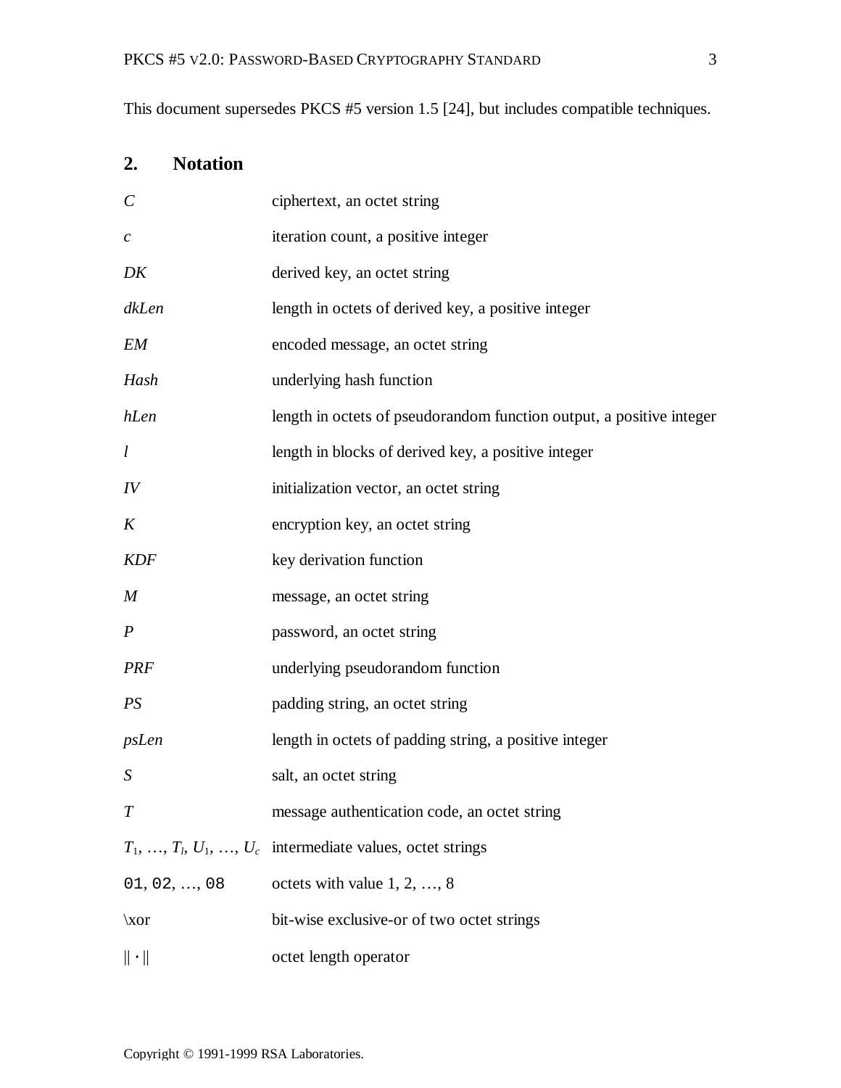This document supersedes PKCS #5 version 1.5 [24], but includes compatible techniques.

# **2. Notation**

| $\mathcal{C}_{0}^{(n)}$ | ciphertext, an octet string                                             |
|-------------------------|-------------------------------------------------------------------------|
| $\mathcal{C}_{0}^{0}$   | iteration count, a positive integer                                     |
| DK                      | derived key, an octet string                                            |
| dkLen                   | length in octets of derived key, a positive integer                     |
| EM                      | encoded message, an octet string                                        |
| Hash                    | underlying hash function                                                |
| hLen                    | length in octets of pseudorandom function output, a positive integer    |
| l                       | length in blocks of derived key, a positive integer                     |
| IV                      | initialization vector, an octet string                                  |
| K                       | encryption key, an octet string                                         |
| <b>KDF</b>              | key derivation function                                                 |
| M                       | message, an octet string                                                |
| $\boldsymbol{P}$        | password, an octet string                                               |
| <b>PRF</b>              | underlying pseudorandom function                                        |
| PS                      | padding string, an octet string                                         |
| psLen                   | length in octets of padding string, a positive integer                  |
| S                       | salt, an octet string                                                   |
|                         | message authentication code, an octet string                            |
|                         | $T_1, \ldots, T_l, U_1, \ldots, U_c$ intermediate values, octet strings |
| 01, 02, , 08            | octets with value $1, 2, , 8$                                           |
| $\chi$ or               | bit-wise exclusive-or of two octet strings                              |
| $\ \cdot\ $             | octet length operator                                                   |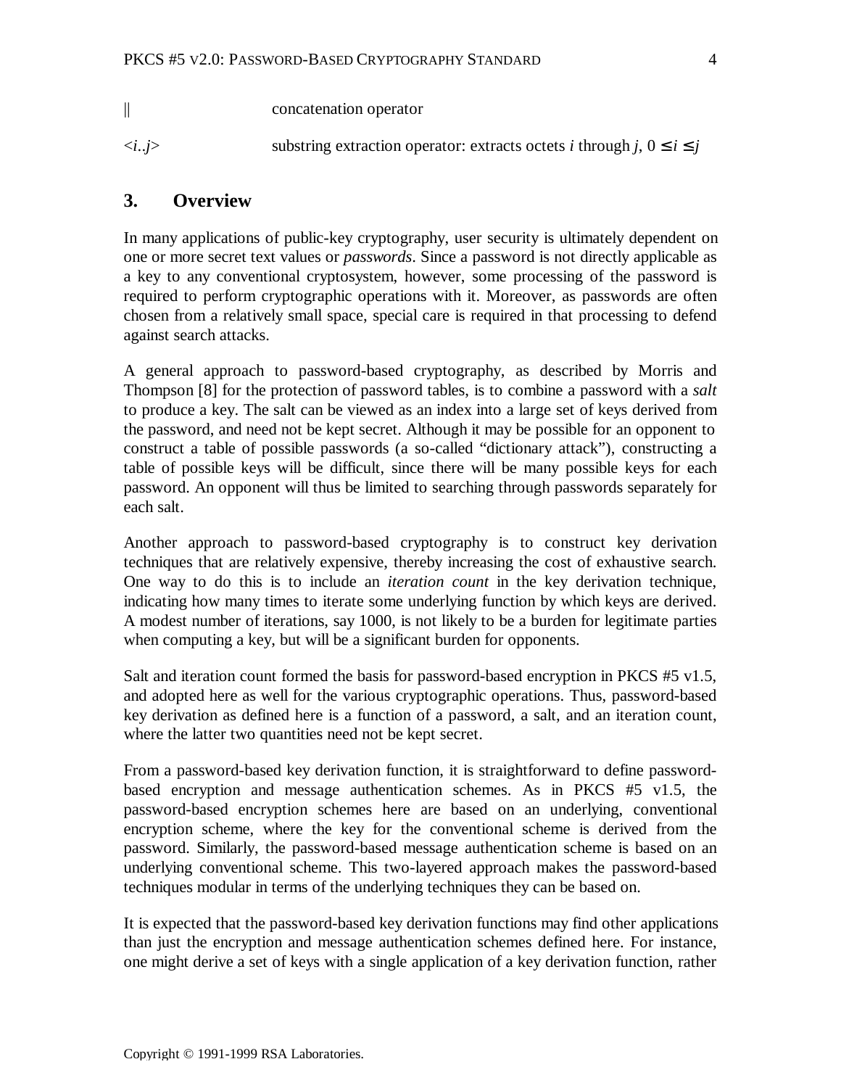|                      | concatenation operator                                                                     |
|----------------------|--------------------------------------------------------------------------------------------|
| $\langle ij \rangle$ | substring extraction operator: extracts octets <i>i</i> through <i>j</i> , $0 \le i \le j$ |

# **3. Overview**

In many applications of public-key cryptography, user security is ultimately dependent on one or more secret text values or *passwords*. Since a password is not directly applicable as a key to any conventional cryptosystem, however, some processing of the password is required to perform cryptographic operations with it. Moreover, as passwords are often chosen from a relatively small space, special care is required in that processing to defend against search attacks.

A general approach to password-based cryptography, as described by Morris and Thompson [8] for the protection of password tables, is to combine a password with a *salt* to produce a key. The salt can be viewed as an index into a large set of keys derived from the password, and need not be kept secret. Although it may be possible for an opponent to construct a table of possible passwords (a so-called "dictionary attack"), constructing a table of possible keys will be difficult, since there will be many possible keys for each password. An opponent will thus be limited to searching through passwords separately for each salt.

Another approach to password-based cryptography is to construct key derivation techniques that are relatively expensive, thereby increasing the cost of exhaustive search. One way to do this is to include an *iteration count* in the key derivation technique, indicating how many times to iterate some underlying function by which keys are derived. A modest number of iterations, say 1000, is not likely to be a burden for legitimate parties when computing a key, but will be a significant burden for opponents.

Salt and iteration count formed the basis for password-based encryption in PKCS #5 v1.5, and adopted here as well for the various cryptographic operations. Thus, password-based key derivation as defined here is a function of a password, a salt, and an iteration count, where the latter two quantities need not be kept secret.

From a password-based key derivation function, it is straightforward to define passwordbased encryption and message authentication schemes. As in PKCS #5 v1.5, the password-based encryption schemes here are based on an underlying, conventional encryption scheme, where the key for the conventional scheme is derived from the password. Similarly, the password-based message authentication scheme is based on an underlying conventional scheme. This two-layered approach makes the password-based techniques modular in terms of the underlying techniques they can be based on.

It is expected that the password-based key derivation functions may find other applications than just the encryption and message authentication schemes defined here. For instance, one might derive a set of keys with a single application of a key derivation function, rather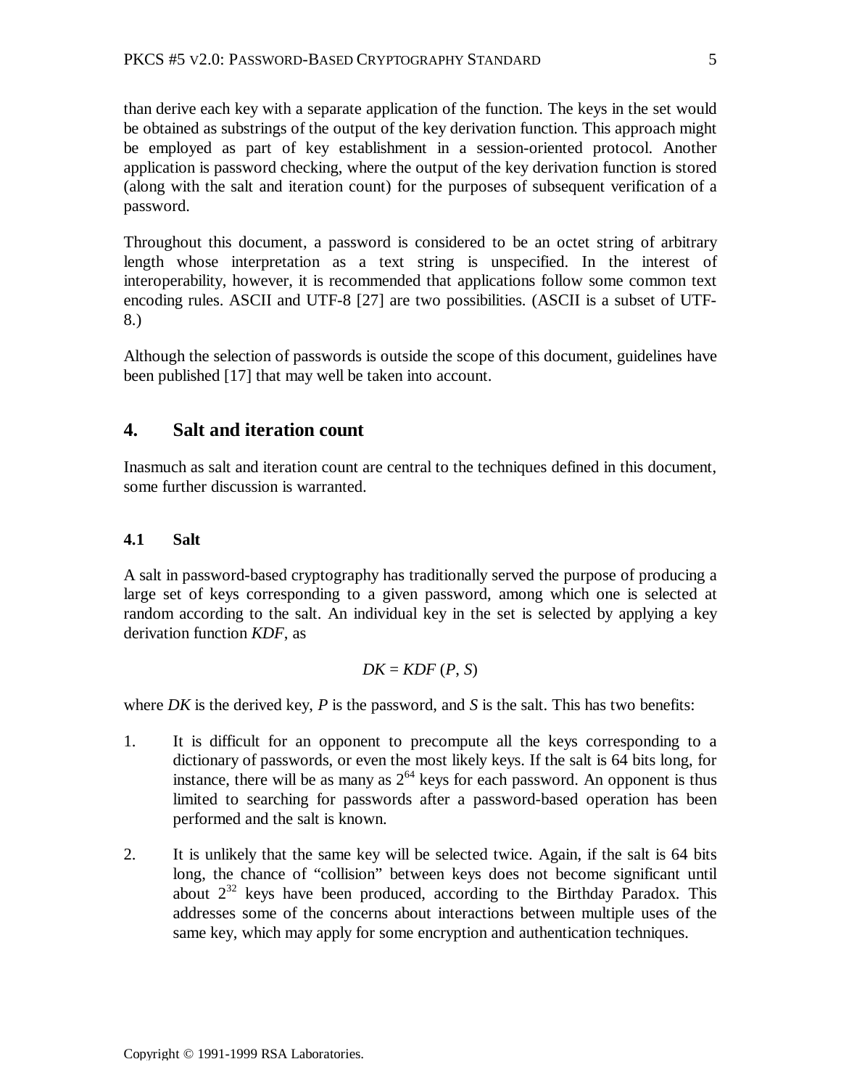than derive each key with a separate application of the function. The keys in the set would be obtained as substrings of the output of the key derivation function. This approach might be employed as part of key establishment in a session-oriented protocol. Another application is password checking, where the output of the key derivation function is stored (along with the salt and iteration count) for the purposes of subsequent verification of a password.

Throughout this document, a password is considered to be an octet string of arbitrary length whose interpretation as a text string is unspecified. In the interest of interoperability, however, it is recommended that applications follow some common text encoding rules. ASCII and UTF-8 [27] are two possibilities. (ASCII is a subset of UTF-8.)

Although the selection of passwords is outside the scope of this document, guidelines have been published [17] that may well be taken into account.

# **4. Salt and iteration count**

Inasmuch as salt and iteration count are central to the techniques defined in this document, some further discussion is warranted.

# **4.1 Salt**

A salt in password-based cryptography has traditionally served the purpose of producing a large set of keys corresponding to a given password, among which one is selected at random according to the salt. An individual key in the set is selected by applying a key derivation function *KDF*, as

$$
DK = KDF(P, S)
$$

where *DK* is the derived key, *P* is the password, and *S* is the salt. This has two benefits:

- 1. It is difficult for an opponent to precompute all the keys corresponding to a dictionary of passwords, or even the most likely keys. If the salt is 64 bits long, for instance, there will be as many as  $2^{64}$  keys for each password. An opponent is thus limited to searching for passwords after a password-based operation has been performed and the salt is known.
- 2. It is unlikely that the same key will be selected twice. Again, if the salt is 64 bits long, the chance of "collision" between keys does not become significant until about  $2^{32}$  keys have been produced, according to the Birthday Paradox. This addresses some of the concerns about interactions between multiple uses of the same key, which may apply for some encryption and authentication techniques.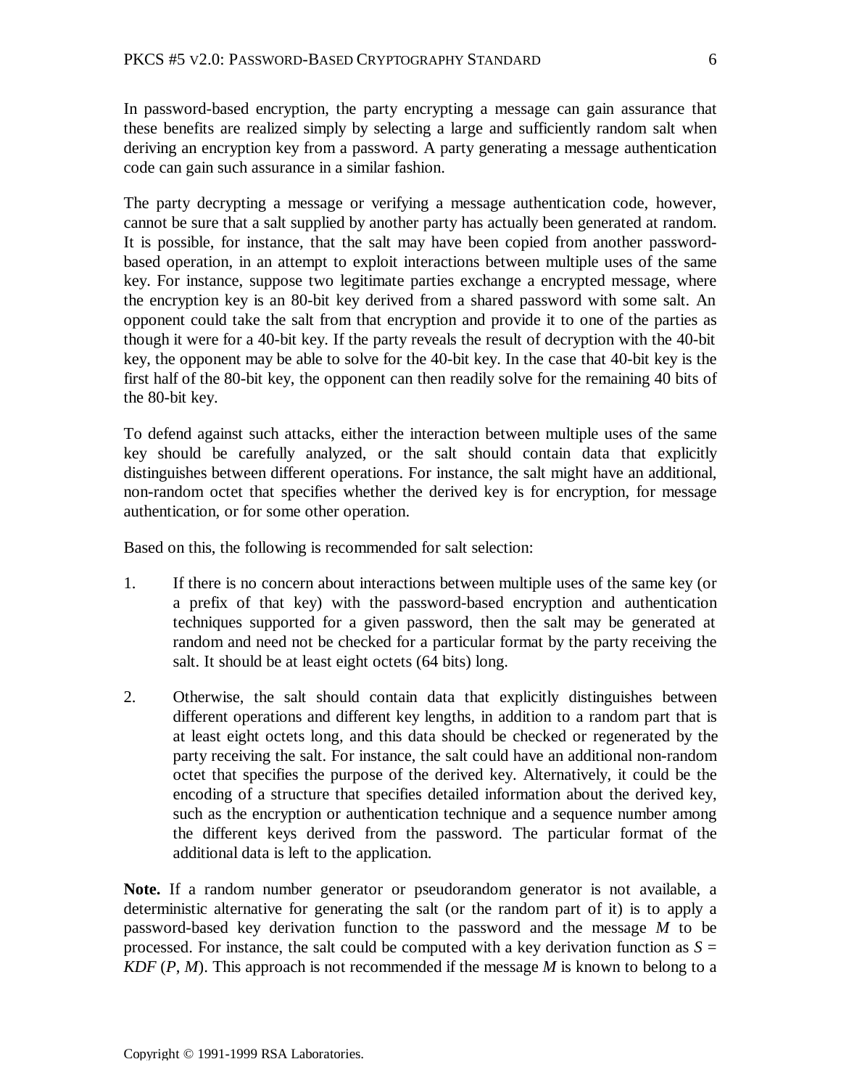In password-based encryption, the party encrypting a message can gain assurance that these benefits are realized simply by selecting a large and sufficiently random salt when deriving an encryption key from a password. A party generating a message authentication code can gain such assurance in a similar fashion.

The party decrypting a message or verifying a message authentication code, however, cannot be sure that a salt supplied by another party has actually been generated at random. It is possible, for instance, that the salt may have been copied from another passwordbased operation, in an attempt to exploit interactions between multiple uses of the same key. For instance, suppose two legitimate parties exchange a encrypted message, where the encryption key is an 80-bit key derived from a shared password with some salt. An opponent could take the salt from that encryption and provide it to one of the parties as though it were for a 40-bit key. If the party reveals the result of decryption with the 40-bit key, the opponent may be able to solve for the 40-bit key. In the case that 40-bit key is the first half of the 80-bit key, the opponent can then readily solve for the remaining 40 bits of the 80-bit key.

To defend against such attacks, either the interaction between multiple uses of the same key should be carefully analyzed, or the salt should contain data that explicitly distinguishes between different operations. For instance, the salt might have an additional, non-random octet that specifies whether the derived key is for encryption, for message authentication, or for some other operation.

Based on this, the following is recommended for salt selection:

- 1. If there is no concern about interactions between multiple uses of the same key (or a prefix of that key) with the password-based encryption and authentication techniques supported for a given password, then the salt may be generated at random and need not be checked for a particular format by the party receiving the salt. It should be at least eight octets (64 bits) long.
- 2. Otherwise, the salt should contain data that explicitly distinguishes between different operations and different key lengths, in addition to a random part that is at least eight octets long, and this data should be checked or regenerated by the party receiving the salt. For instance, the salt could have an additional non-random octet that specifies the purpose of the derived key. Alternatively, it could be the encoding of a structure that specifies detailed information about the derived key, such as the encryption or authentication technique and a sequence number among the different keys derived from the password. The particular format of the additional data is left to the application.

**Note.** If a random number generator or pseudorandom generator is not available, a deterministic alternative for generating the salt (or the random part of it) is to apply a password-based key derivation function to the password and the message *M* to be processed. For instance, the salt could be computed with a key derivation function as  $S =$ *KDF* (*P*, *M*). This approach is not recommended if the message *M* is known to belong to a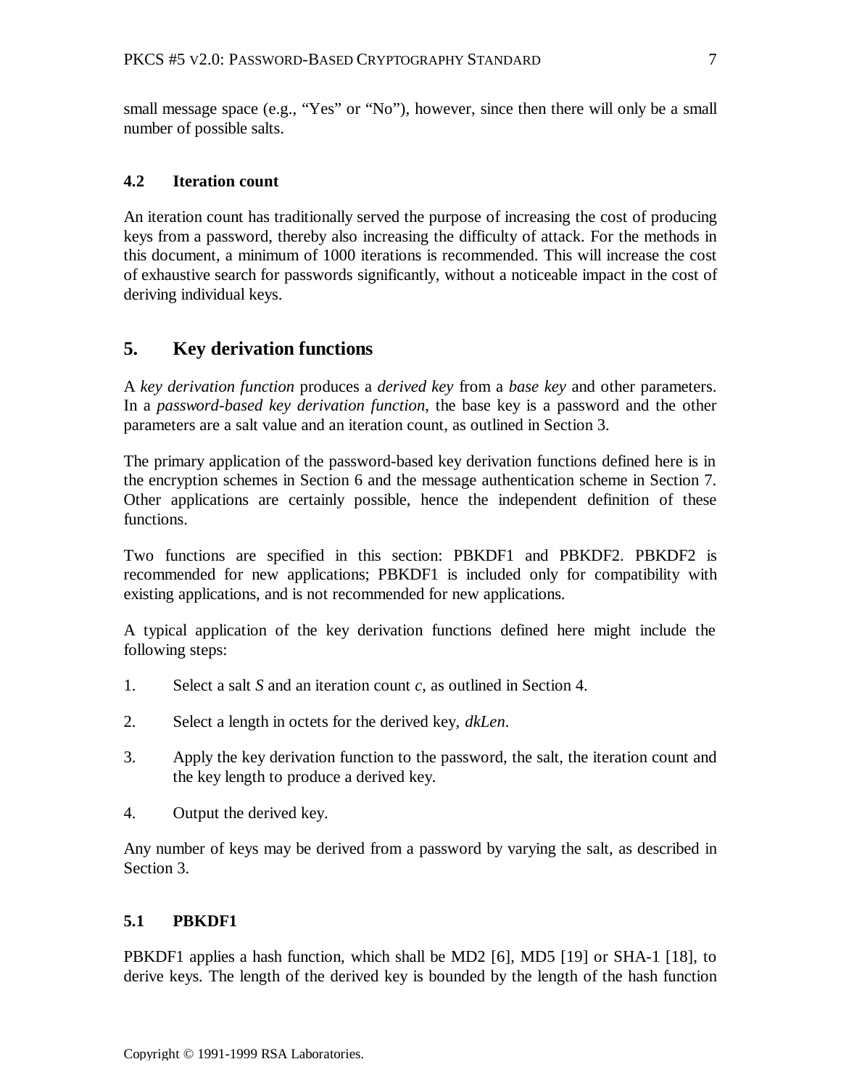small message space (e.g., "Yes" or "No"), however, since then there will only be a small number of possible salts.

#### **4.2 Iteration count**

An iteration count has traditionally served the purpose of increasing the cost of producing keys from a password, thereby also increasing the difficulty of attack. For the methods in this document, a minimum of 1000 iterations is recommended. This will increase the cost of exhaustive search for passwords significantly, without a noticeable impact in the cost of deriving individual keys.

# **5. Key derivation functions**

A *key derivation function* produces a *derived key* from a *base key* and other parameters. In a *password-based key derivation function*, the base key is a password and the other parameters are a salt value and an iteration count, as outlined in Section 3.

The primary application of the password-based key derivation functions defined here is in the encryption schemes in Section 6 and the message authentication scheme in Section 7. Other applications are certainly possible, hence the independent definition of these functions.

Two functions are specified in this section: PBKDF1 and PBKDF2. PBKDF2 is recommended for new applications; PBKDF1 is included only for compatibility with existing applications, and is not recommended for new applications.

A typical application of the key derivation functions defined here might include the following steps:

- 1. Select a salt *S* and an iteration count *c*, as outlined in Section 4.
- 2. Select a length in octets for the derived key, *dkLen*.
- 3. Apply the key derivation function to the password, the salt, the iteration count and the key length to produce a derived key.
- 4. Output the derived key.

Any number of keys may be derived from a password by varying the salt, as described in Section 3.

#### **5.1 PBKDF1**

PBKDF1 applies a hash function, which shall be MD2 [6], MD5 [19] or SHA-1 [18], to derive keys. The length of the derived key is bounded by the length of the hash function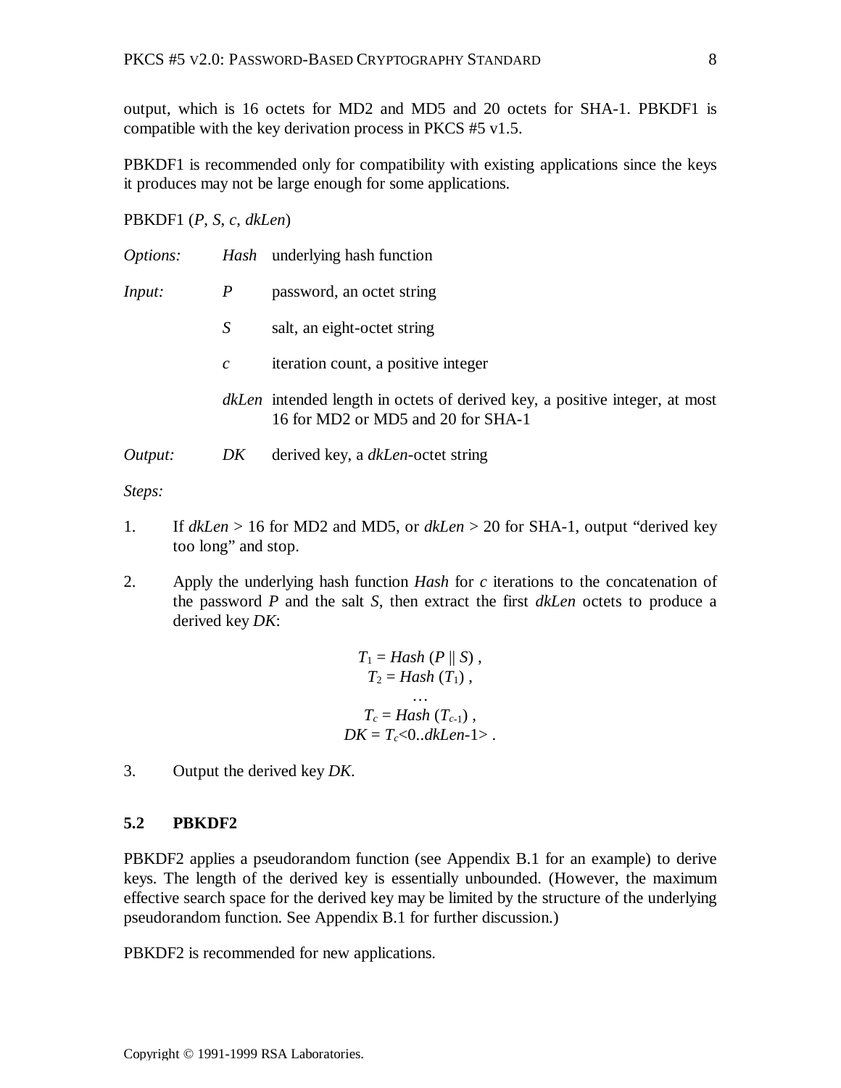output, which is 16 octets for MD2 and MD5 and 20 octets for SHA-1. PBKDF1 is compatible with the key derivation process in PKCS #5 v1.5.

PBKDF1 is recommended only for compatibility with existing applications since the keys it produces may not be large enough for some applications.

PBKDF1 (*P*, *S*, *c*, *dkLen*)

| <i>Options:</i> |               | <i>Hash</i> underlying hash function                                                                                     |
|-----------------|---------------|--------------------------------------------------------------------------------------------------------------------------|
| <i>Input:</i>   | P             | password, an octet string                                                                                                |
|                 | S             | salt, an eight-octet string                                                                                              |
|                 | $\mathcal{C}$ | iteration count, a positive integer                                                                                      |
|                 |               | <i>dkLen</i> intended length in octets of derived key, a positive integer, at most<br>16 for MD2 or MD5 and 20 for SHA-1 |
| Output:         | DK            | derived key, a <i>dkLen</i> -octet string                                                                                |

*Steps:*

- 1. If *dkLen* > 16 for MD2 and MD5, or *dkLen* > 20 for SHA-1, output "derived key too long" and stop.
- 2. Apply the underlying hash function *Hash* for *c* iterations to the concatenation of the password *P* and the salt *S*, then extract the first *dkLen* octets to produce a derived key *DK*:

$$
T_1 = Hash (P || S),
$$
  
\n
$$
T_2 = Hash (T_1),
$$
  
\n...  
\n
$$
T_c = Hash (T_{c-1}),
$$
  
\n
$$
DK = T_c < 0..dkLen-1>.
$$

3. Output the derived key *DK*.

#### **5.2 PBKDF2**

PBKDF2 applies a pseudorandom function (see Appendix B.1 for an example) to derive keys. The length of the derived key is essentially unbounded. (However, the maximum effective search space for the derived key may be limited by the structure of the underlying pseudorandom function. See Appendix B.1 for further discussion.)

PBKDF2 is recommended for new applications.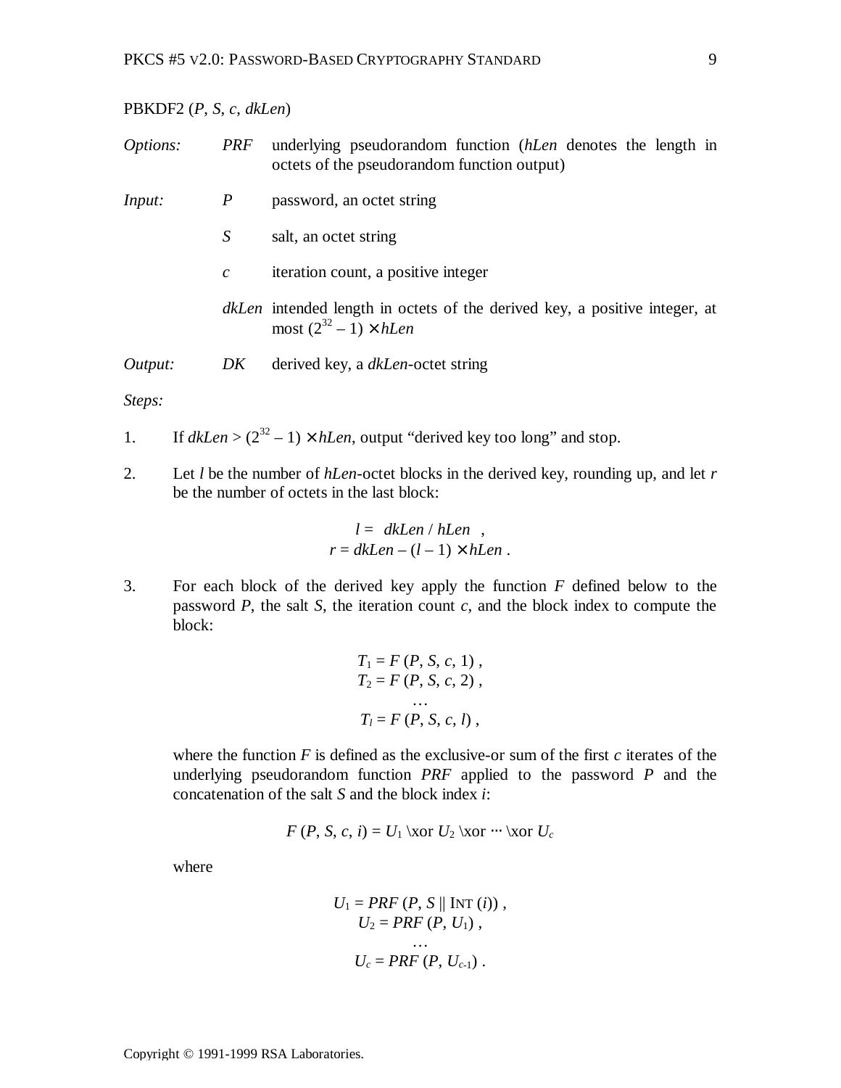#### PBKDF2 (*P*, *S*, *c*, *dkLen*)

| <i>Options:</i> | PRF              | underlying pseudorandom function (hLen denotes the length in<br>octets of the pseudorandom function output)          |
|-----------------|------------------|----------------------------------------------------------------------------------------------------------------------|
| <i>Input:</i>   | $\boldsymbol{P}$ | password, an octet string                                                                                            |
|                 | S                | salt, an octet string                                                                                                |
|                 | $\mathcal{C}$    | iteration count, a positive integer                                                                                  |
|                 |                  | <i>dkLen</i> intended length in octets of the derived key, a positive integer, at<br>most $(2^{32} – 1) \times hLen$ |
| Output:         | DK               | derived key, a dkLen-octet string                                                                                    |

#### *Steps:*

1. If  $dkLen > (2^{32} - 1) \times hLen$ , output "derived key too long" and stop.

2. Let *l* be the number of *hLen*-octet blocks in the derived key, rounding up, and let *r* be the number of octets in the last block:

$$
l = |dkLen / hLen |,
$$
  

$$
r = dkLen - (l - 1) \times hLen .
$$

3. For each block of the derived key apply the function *F* defined below to the password *P*, the salt *S*, the iteration count *c*, and the block index to compute the block:

$$
T_1 = F(P, S, c, 1),
$$
  
\n
$$
T_2 = F(P, S, c, 2),
$$
  
\n...  
\n
$$
T_l = F(P, S, c, l),
$$

where the function *F* is defined as the exclusive-or sum of the first *c* iterates of the underlying pseudorandom function *PRF* applied to the password *P* and the concatenation of the salt *S* and the block index *i*:

$$
F(P, S, c, i) = U_1 \xor U_2 \xor \cdots \xor U_c
$$

where

$$
U_1 = PRF (P, S \parallel \text{INT } (i)),
$$
  
\n
$$
U_2 = PRF (P, U_1),
$$
  
\n...  
\n
$$
U_c = PRF (P, U_{c-1}).
$$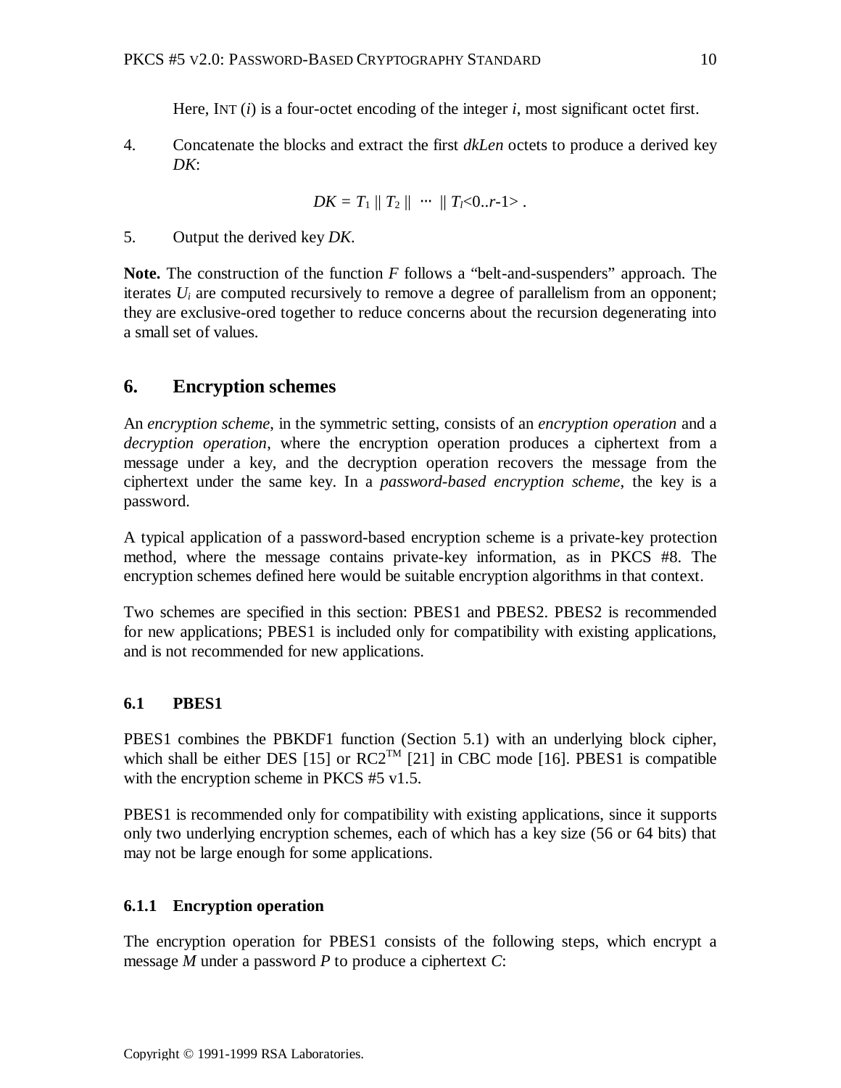Here, INT (*i*) is a four-octet encoding of the integer *i*, most significant octet first.

4. Concatenate the blocks and extract the first *dkLen* octets to produce a derived key *DK*:

$$
DK = T_1 || T_2 || \cdots || T_i < 0..r-1>.
$$

5. Output the derived key *DK*.

**Note.** The construction of the function *F* follows a "belt-and-suspenders" approach. The iterates *Ui* are computed recursively to remove a degree of parallelism from an opponent; they are exclusive-ored together to reduce concerns about the recursion degenerating into a small set of values.

# **6. Encryption schemes**

An *encryption scheme*, in the symmetric setting, consists of an *encryption operation* and a *decryption operation*, where the encryption operation produces a ciphertext from a message under a key, and the decryption operation recovers the message from the ciphertext under the same key. In a *password-based encryption scheme*, the key is a password.

A typical application of a password-based encryption scheme is a private-key protection method, where the message contains private-key information, as in PKCS #8. The encryption schemes defined here would be suitable encryption algorithms in that context.

Two schemes are specified in this section: PBES1 and PBES2. PBES2 is recommended for new applications; PBES1 is included only for compatibility with existing applications, and is not recommended for new applications.

# **6.1 PBES1**

PBES1 combines the PBKDF1 function (Section 5.1) with an underlying block cipher, which shall be either DES [15] or  $RC2^{TM}$  [21] in CBC mode [16]. PBES1 is compatible with the encryption scheme in PKCS #5 v1.5.

PBES1 is recommended only for compatibility with existing applications, since it supports only two underlying encryption schemes, each of which has a key size (56 or 64 bits) that may not be large enough for some applications.

# **6.1.1 Encryption operation**

The encryption operation for PBES1 consists of the following steps, which encrypt a message *M* under a password *P* to produce a ciphertext *C*: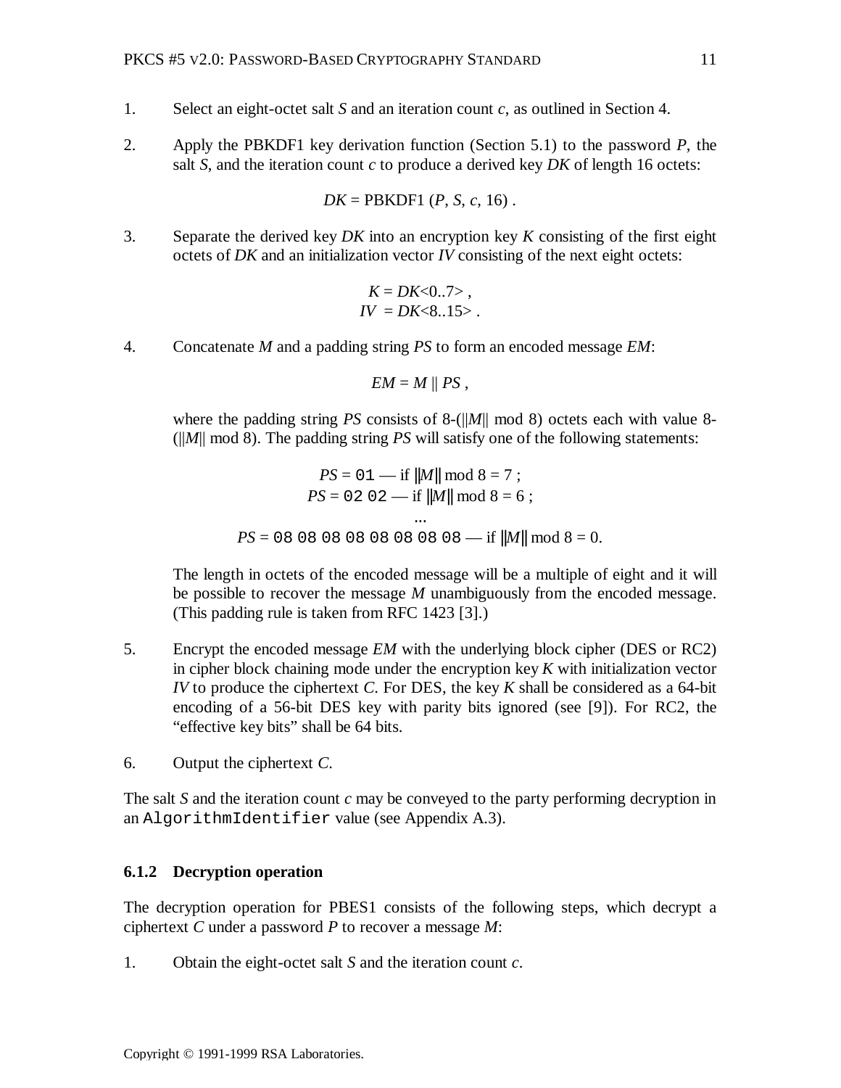- 1. Select an eight-octet salt *S* and an iteration count *c*, as outlined in Section 4.
- 2. Apply the PBKDF1 key derivation function (Section 5.1) to the password *P*, the salt *S*, and the iteration count *c* to produce a derived key *DK* of length 16 octets:

$$
DK = PBKDF1 (P, S, c, 16).
$$

3. Separate the derived key *DK* into an encryption key *K* consisting of the first eight octets of *DK* and an initialization vector *IV* consisting of the next eight octets:

$$
K = DK < 0..7 > , \\
 IV = DK < 8..15 > .
$$

4. Concatenate *M* and a padding string *PS* to form an encoded message *EM*:

$$
EM = M \parallel PS ,
$$

where the padding string *PS* consists of 8-(||*M*|| mod 8) octets each with value 8- (||*M*|| mod 8). The padding string *PS* will satisfy one of the following statements:

$$
PS = 01 - \text{if } ||M|| \mod 8 = 7 ;
$$
  
\n
$$
PS = 02 \ 02 - \text{if } ||M|| \mod 8 = 6 ;
$$
  
\n...  
\n
$$
PS = 08 \ 08 \ 08 \ 08 \ 08 \ 08 \ 08 - \text{if } ||M|| \mod 8 = 0.
$$

The length in octets of the encoded message will be a multiple of eight and it will be possible to recover the message *M* unambiguously from the encoded message. (This padding rule is taken from RFC 1423 [3].)

- 5. Encrypt the encoded message *EM* with the underlying block cipher (DES or RC2) in cipher block chaining mode under the encryption key *K* with initialization vector *IV* to produce the ciphertext *C*. For DES, the key *K* shall be considered as a 64-bit encoding of a 56-bit DES key with parity bits ignored (see [9]). For RC2, the "effective key bits" shall be 64 bits.
- 6. Output the ciphertext *C*.

The salt *S* and the iteration count *c* may be conveyed to the party performing decryption in an AlgorithmIdentifier value (see Appendix A.3).

#### **6.1.2 Decryption operation**

The decryption operation for PBES1 consists of the following steps, which decrypt a ciphertext *C* under a password *P* to recover a message *M*:

1. Obtain the eight-octet salt *S* and the iteration count *c*.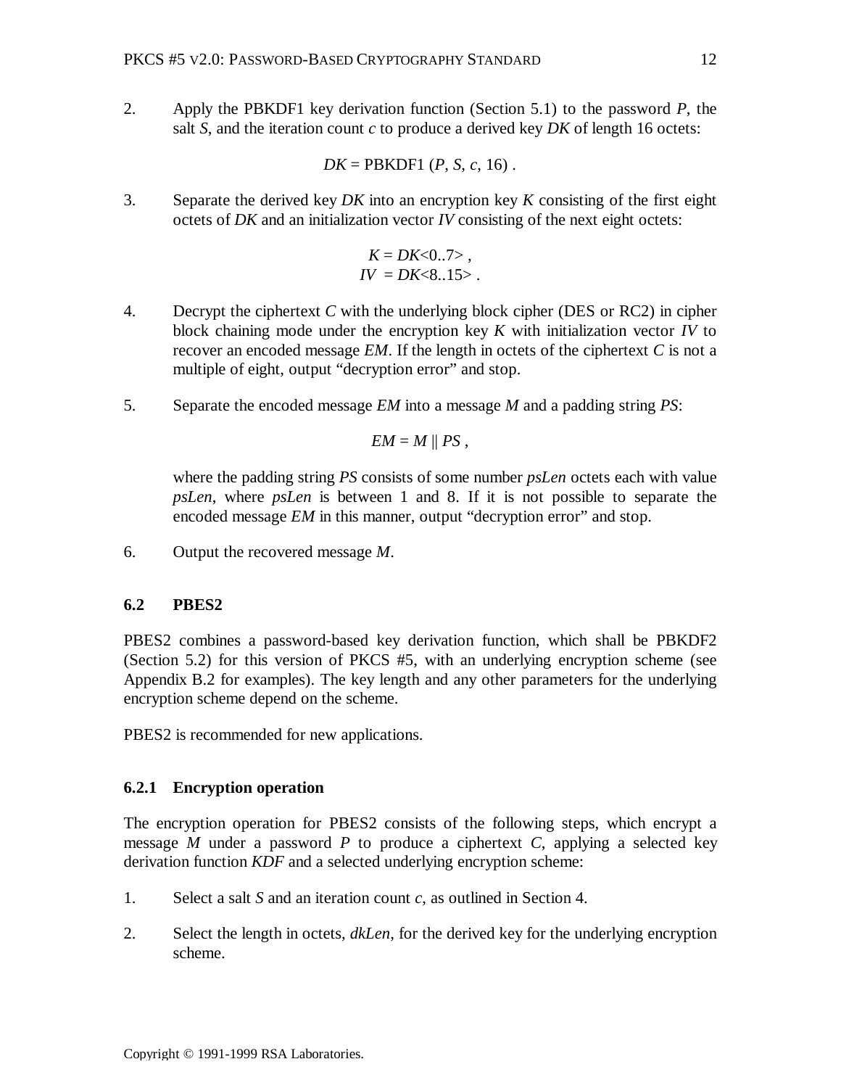2. Apply the PBKDF1 key derivation function (Section 5.1) to the password *P*, the salt *S*, and the iteration count *c* to produce a derived key *DK* of length 16 octets:

$$
DK = PBKDF1 (P, S, c, 16).
$$

3. Separate the derived key *DK* into an encryption key *K* consisting of the first eight octets of *DK* and an initialization vector *IV* consisting of the next eight octets:

$$
K = DK < 0..7 > , \\
 IV = DK < 8..15 > .
$$

- 4. Decrypt the ciphertext *C* with the underlying block cipher (DES or RC2) in cipher block chaining mode under the encryption key *K* with initialization vector *IV* to recover an encoded message *EM*. If the length in octets of the ciphertext *C* is not a multiple of eight, output "decryption error" and stop.
- 5. Separate the encoded message *EM* into a message *M* and a padding string *PS*:

$$
EM = M \parallel PS,
$$

where the padding string *PS* consists of some number *psLen* octets each with value *psLen*, where *psLen* is between 1 and 8. If it is not possible to separate the encoded message *EM* in this manner, output "decryption error" and stop.

6. Output the recovered message *M*.

#### **6.2 PBES2**

PBES2 combines a password-based key derivation function, which shall be PBKDF2 (Section 5.2) for this version of PKCS #5, with an underlying encryption scheme (see Appendix B.2 for examples). The key length and any other parameters for the underlying encryption scheme depend on the scheme.

PBES2 is recommended for new applications.

#### **6.2.1 Encryption operation**

The encryption operation for PBES2 consists of the following steps, which encrypt a message *M* under a password *P* to produce a ciphertext *C*, applying a selected key derivation function *KDF* and a selected underlying encryption scheme:

- 1. Select a salt *S* and an iteration count *c*, as outlined in Section 4.
- 2. Select the length in octets, *dkLen*, for the derived key for the underlying encryption scheme.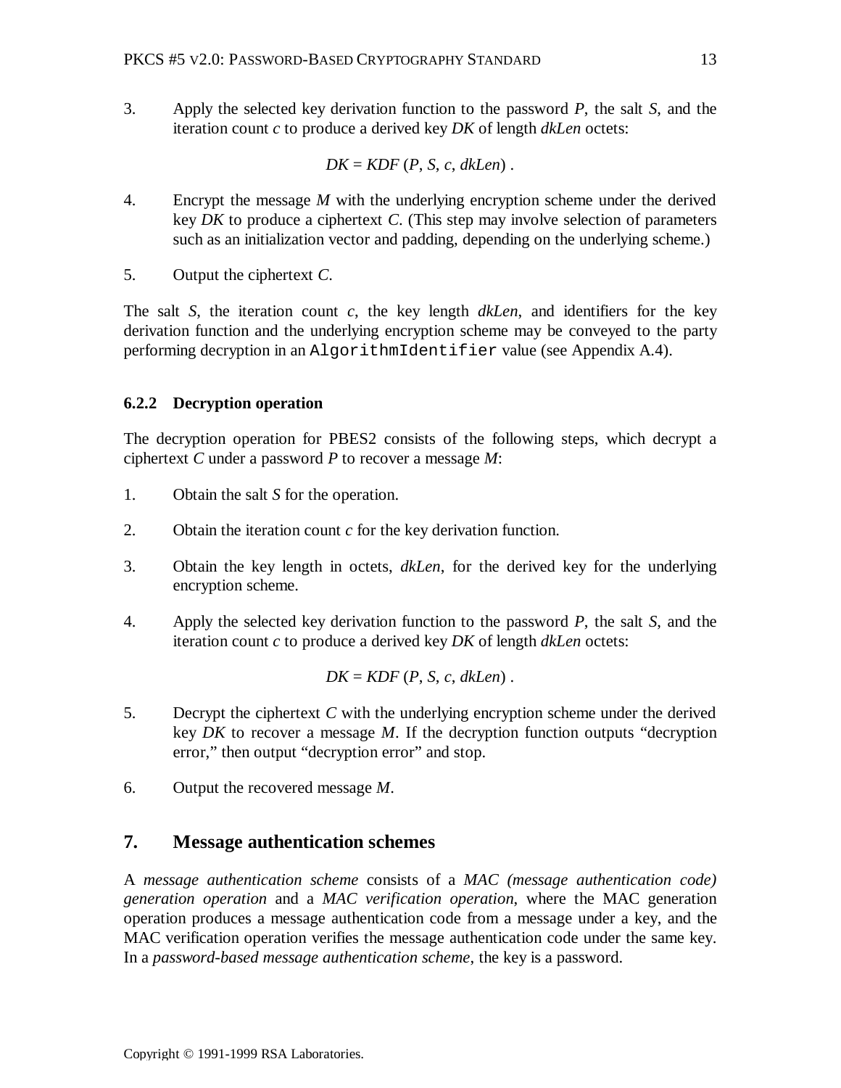3. Apply the selected key derivation function to the password *P*, the salt *S*, and the iteration count *c* to produce a derived key *DK* of length *dkLen* octets:

$$
DK = KDF(P, S, c, dkLen).
$$

- 4. Encrypt the message *M* with the underlying encryption scheme under the derived key *DK* to produce a ciphertext *C*. (This step may involve selection of parameters such as an initialization vector and padding, depending on the underlying scheme.)
- 5. Output the ciphertext *C*.

The salt *S*, the iteration count *c*, the key length *dkLen*, and identifiers for the key derivation function and the underlying encryption scheme may be conveyed to the party performing decryption in an AlgorithmIdentifier value (see Appendix A.4).

#### **6.2.2 Decryption operation**

The decryption operation for PBES2 consists of the following steps, which decrypt a ciphertext *C* under a password *P* to recover a message *M*:

- 1. Obtain the salt *S* for the operation.
- 2. Obtain the iteration count *c* for the key derivation function.
- 3. Obtain the key length in octets, *dkLen*, for the derived key for the underlying encryption scheme.
- 4. Apply the selected key derivation function to the password *P*, the salt *S*, and the iteration count *c* to produce a derived key *DK* of length *dkLen* octets:

$$
DK = KDF(P, S, c, dkLen).
$$

- 5. Decrypt the ciphertext *C* with the underlying encryption scheme under the derived key *DK* to recover a message *M*. If the decryption function outputs "decryption error," then output "decryption error" and stop.
- 6. Output the recovered message *M*.

# **7. Message authentication schemes**

A *message authentication scheme* consists of a *MAC (message authentication code) generation operation* and a *MAC verification operation*, where the MAC generation operation produces a message authentication code from a message under a key, and the MAC verification operation verifies the message authentication code under the same key. In a *password-based message authentication scheme*, the key is a password.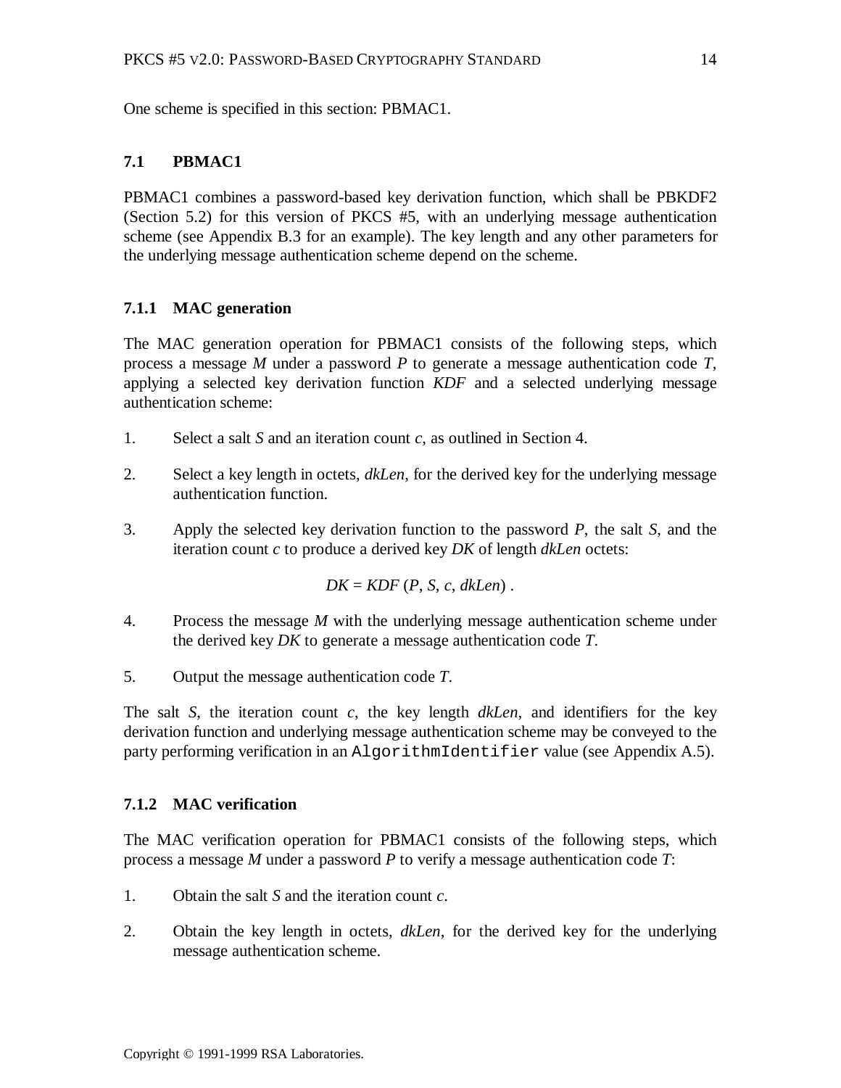One scheme is specified in this section: PBMAC1.

# **7.1 PBMAC1**

PBMAC1 combines a password-based key derivation function, which shall be PBKDF2 (Section 5.2) for this version of PKCS #5, with an underlying message authentication scheme (see Appendix B.3 for an example). The key length and any other parameters for the underlying message authentication scheme depend on the scheme.

#### **7.1.1 MAC generation**

The MAC generation operation for PBMAC1 consists of the following steps, which process a message *M* under a password *P* to generate a message authentication code *T*, applying a selected key derivation function *KDF* and a selected underlying message authentication scheme:

- 1. Select a salt *S* and an iteration count *c*, as outlined in Section 4.
- 2. Select a key length in octets, *dkLen*, for the derived key for the underlying message authentication function.
- 3. Apply the selected key derivation function to the password *P*, the salt *S*, and the iteration count *c* to produce a derived key *DK* of length *dkLen* octets:

 $DK = KDF$  ( $P$ ,  $S$ ,  $c$ ,  $dkLen$ ).

- 4. Process the message *M* with the underlying message authentication scheme under the derived key *DK* to generate a message authentication code *T*.
- 5. Output the message authentication code *T*.

The salt *S*, the iteration count *c*, the key length *dkLen*, and identifiers for the key derivation function and underlying message authentication scheme may be conveyed to the party performing verification in an AlgorithmIdentifier value (see Appendix A.5).

#### **7.1.2 MAC verification**

The MAC verification operation for PBMAC1 consists of the following steps, which process a message *M* under a password *P* to verify a message authentication code *T*:

- 1. Obtain the salt *S* and the iteration count *c*.
- 2. Obtain the key length in octets, *dkLen*, for the derived key for the underlying message authentication scheme.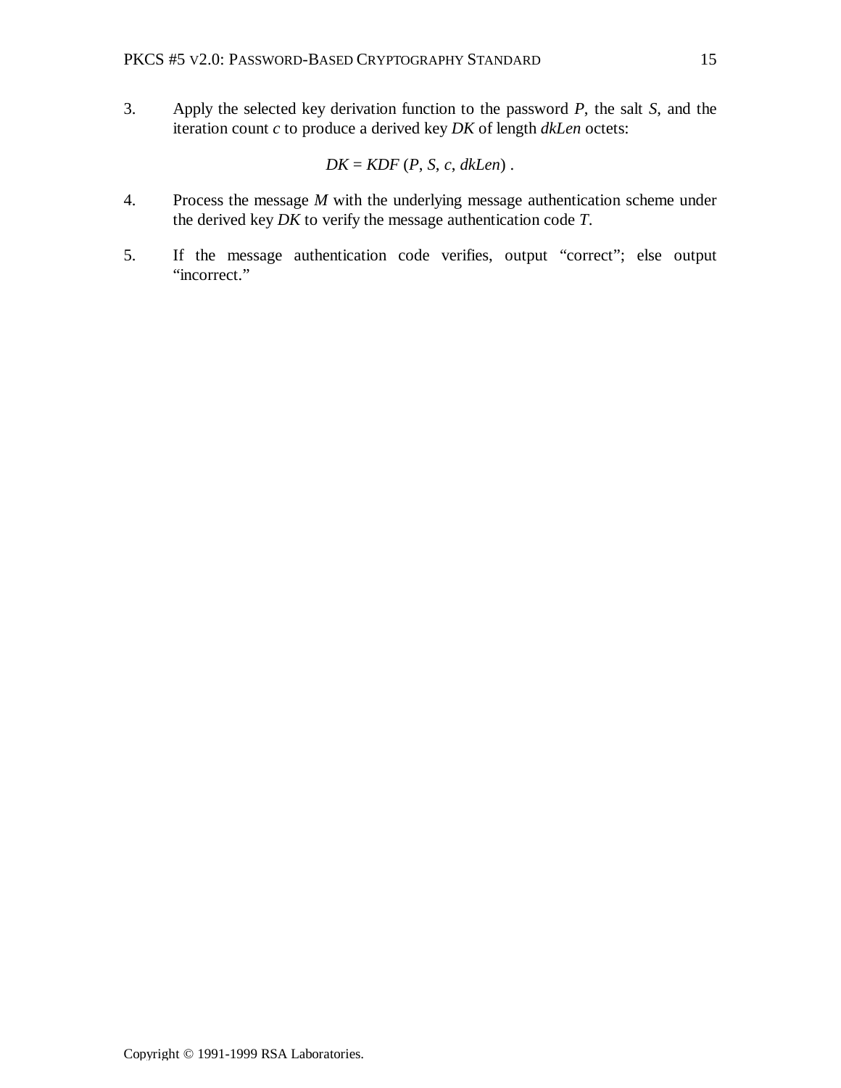3. Apply the selected key derivation function to the password *P*, the salt *S*, and the iteration count *c* to produce a derived key *DK* of length *dkLen* octets:

$$
DK = KDF(P, S, c, dkLen).
$$

- 4. Process the message *M* with the underlying message authentication scheme under the derived key *DK* to verify the message authentication code *T*.
- 5. If the message authentication code verifies, output "correct"; else output "incorrect."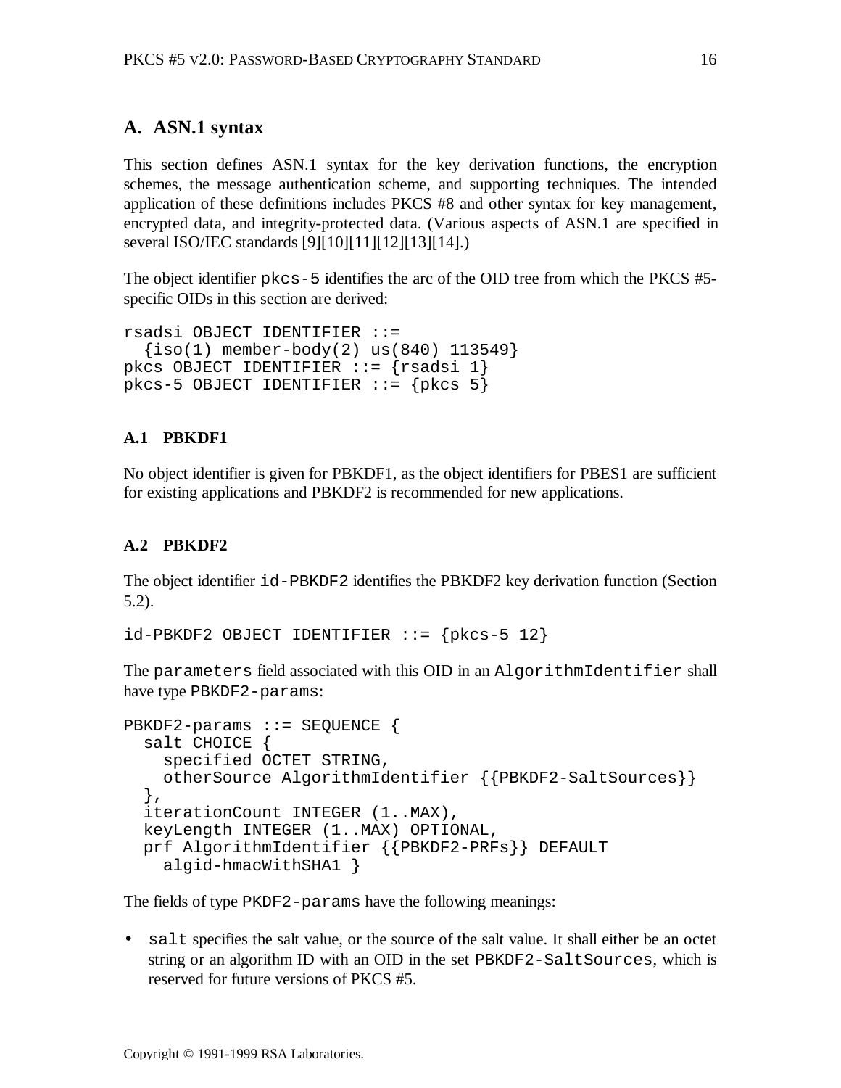# **A. ASN.1 syntax**

This section defines ASN.1 syntax for the key derivation functions, the encryption schemes, the message authentication scheme, and supporting techniques. The intended application of these definitions includes PKCS #8 and other syntax for key management, encrypted data, and integrity-protected data. (Various aspects of ASN.1 are specified in several ISO/IEC standards [9][10][11][12][13][14].)

The object identifier pkcs-5 identifies the arc of the OID tree from which the PKCS #5 specific OIDs in this section are derived:

```
rsadsi OBJECT IDENTIFIER ::=
  \{iso(1) member-body(2) us(840) 113549\}pkcs OBJECT IDENTIFIER ::= {rsadsi 1}
pkcs-5 OBJECT IDENTIFIER ::= {pkcs 5}
```
#### **A.1 PBKDF1**

No object identifier is given for PBKDF1, as the object identifiers for PBES1 are sufficient for existing applications and PBKDF2 is recommended for new applications.

#### **A.2 PBKDF2**

The object identifier id-PBKDF2 identifies the PBKDF2 key derivation function (Section 5.2).

```
id-PBKDF2 OBJECT IDENTIFIER ::= \{pkcs-5 12\}
```
The parameters field associated with this OID in an AlgorithmIdentifier shall have type PBKDF2-params:

```
PBKDF2-params ::= SEQUENCE {
   salt CHOICE {
     specified OCTET STRING,
     otherSource AlgorithmIdentifier {{PBKDF2-SaltSources}}
   },
   iterationCount INTEGER (1..MAX),
   keyLength INTEGER (1..MAX) OPTIONAL,
   prf AlgorithmIdentifier {{PBKDF2-PRFs}} DEFAULT
     algid-hmacWithSHA1 }
```
The fields of type PKDF2-params have the following meanings:

• salt specifies the salt value, or the source of the salt value. It shall either be an octet string or an algorithm ID with an OID in the set PBKDF2-SaltSources, which is reserved for future versions of PKCS #5.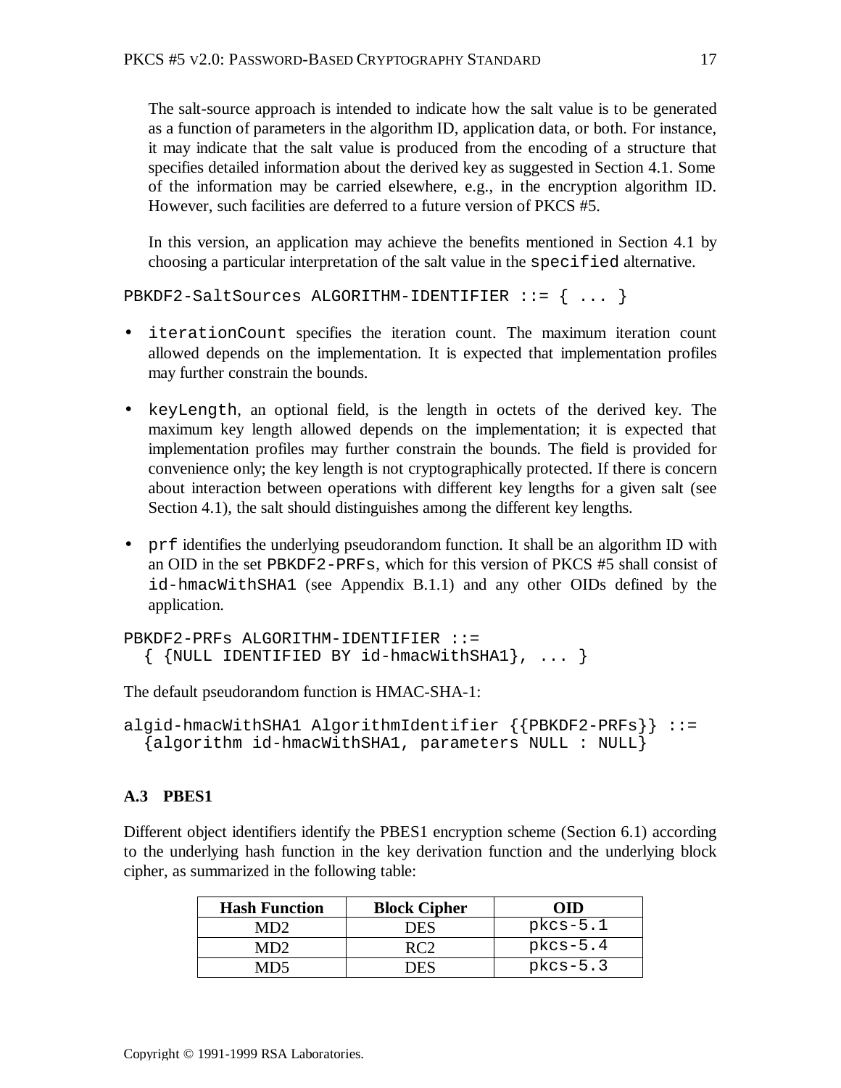The salt-source approach is intended to indicate how the salt value is to be generated as a function of parameters in the algorithm ID, application data, or both. For instance, it may indicate that the salt value is produced from the encoding of a structure that specifies detailed information about the derived key as suggested in Section 4.1. Some of the information may be carried elsewhere, e.g., in the encryption algorithm ID. However, such facilities are deferred to a future version of PKCS #5.

In this version, an application may achieve the benefits mentioned in Section 4.1 by choosing a particular interpretation of the salt value in the specified alternative.

PBKDF2-SaltSources ALGORITHM-IDENTIFIER ::= { ... }

- iterationCount specifies the iteration count. The maximum iteration count allowed depends on the implementation. It is expected that implementation profiles may further constrain the bounds.
- keyLength, an optional field, is the length in octets of the derived key. The maximum key length allowed depends on the implementation; it is expected that implementation profiles may further constrain the bounds. The field is provided for convenience only; the key length is not cryptographically protected. If there is concern about interaction between operations with different key lengths for a given salt (see Section 4.1), the salt should distinguishes among the different key lengths.
- prf identifies the underlying pseudorandom function. It shall be an algorithm ID with an OID in the set PBKDF2-PRFs, which for this version of PKCS #5 shall consist of id-hmacWithSHA1 (see Appendix B.1.1) and any other OIDs defined by the application.

```
PBKDF2-PRFs ALGORITHM-IDENTIFIER ::=
  \{ {NULL IDENTIFIED BY id-hmacWithSHA1}, ... }
```
The default pseudorandom function is HMAC-SHA-1:

```
algid-hmacWithSHA1 AlgorithmIdentifier {{PBKDF2-PRFs}} ::=
   {algorithm id-hmacWithSHA1, parameters NULL : NULL}
```
#### **A.3 PBES1**

Different object identifiers identify the PBES1 encryption scheme (Section 6.1) according to the underlying hash function in the key derivation function and the underlying block cipher, as summarized in the following table:

| <b>Hash Function</b> | <b>Block Cipher</b> | om         |
|----------------------|---------------------|------------|
| MD2                  | <b>DES</b>          | $pkcs-5.1$ |
| MD2                  |                     | $pkcs-5.4$ |
|                      | 7ES                 | $pkcs-5.3$ |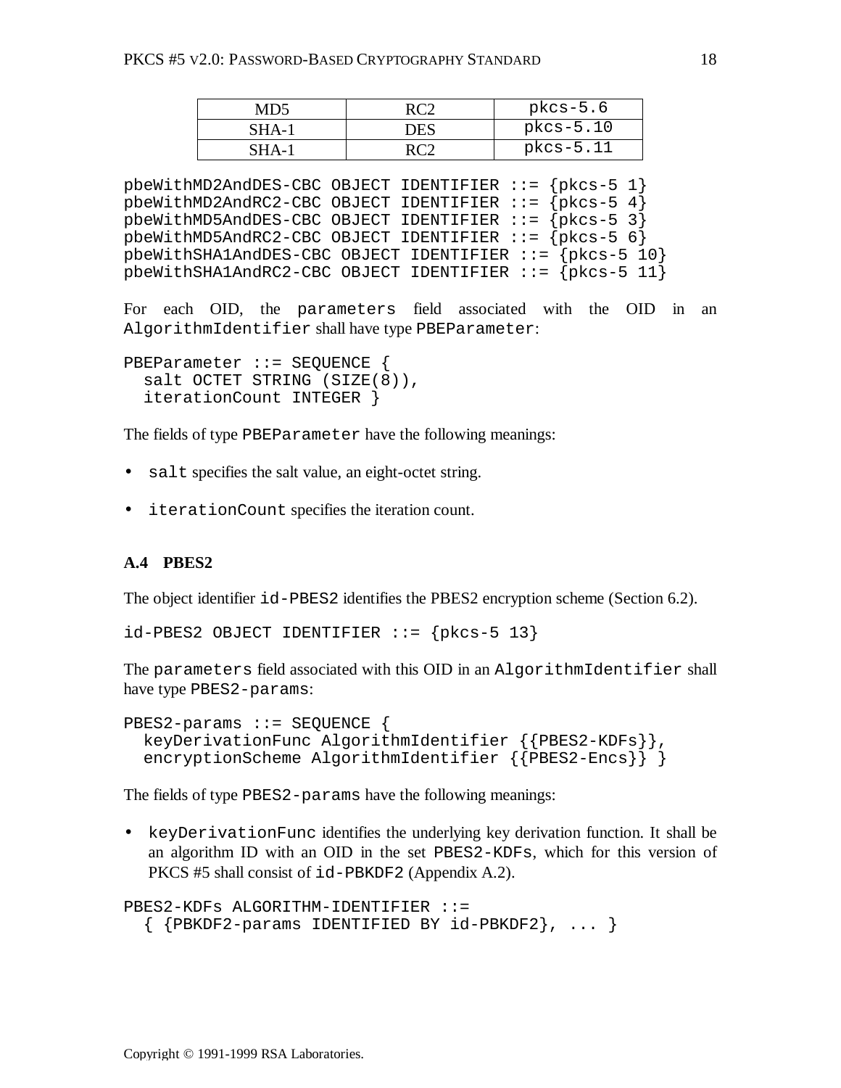| MD5   |     | $pkcs-5.6$  |
|-------|-----|-------------|
| SHA-1 | DES | pkcs-5.10   |
| SHA-1 |     | $pkcs-5.11$ |

pbeWithMD2AndDES-CBC OBJECT IDENTIFIER ::= {pkcs-5 1}  $pbewithMD2AndRC2-CBC OBJECT IDENTIFYER := {pkcs-5 4}$ pbeWithMD5AndDES-CBC OBJECT IDENTIFIER ::= {pkcs-5 3} pbeWithMD5AndRC2-CBC OBJECT IDENTIFIER ::= {pkcs-5 6} pbeWithSHA1AndDES-CBC OBJECT IDENTIFIER ::= {pkcs-5 10} pbeWithSHA1AndRC2-CBC OBJECT IDENTIFIER ::= {pkcs-5 11}

For each OID, the parameters field associated with the OID in an AlgorithmIdentifier shall have type PBEParameter:

```
PBEParameter ::= SEQUENCE {
   salt OCTET STRING (SIZE(8)),
   iterationCount INTEGER }
```
The fields of type PBEParameter have the following meanings:

- salt specifies the salt value, an eight-octet string.
- iterationCount specifies the iteration count.

#### **A.4 PBES2**

The object identifier id-PBES2 identifies the PBES2 encryption scheme (Section 6.2).

 $id-PBES2$  OBJECT IDENTIFIER  $::=$  {p $kcs-5$  13}

The parameters field associated with this OID in an AlgorithmIdentifier shall have type PBES2-params:

```
PBES2-params ::= SEQUENCE {
  keyDerivationFunc AlgorithmIdentifier {{PBES2-KDFs}},
   encryptionScheme AlgorithmIdentifier {{PBES2-Encs}} }
```
The fields of type PBES2-params have the following meanings:

• keyDerivationFunc identifies the underlying key derivation function. It shall be an algorithm ID with an OID in the set PBES2-KDFs, which for this version of PKCS #5 shall consist of id-PBKDF2 (Appendix A.2).

```
PBES2-KDFs ALGORITHM-IDENTIFIER ::=
  \{ {PBKDF2-params IDENTIFIED BY id-PBKDF2}, ... }
```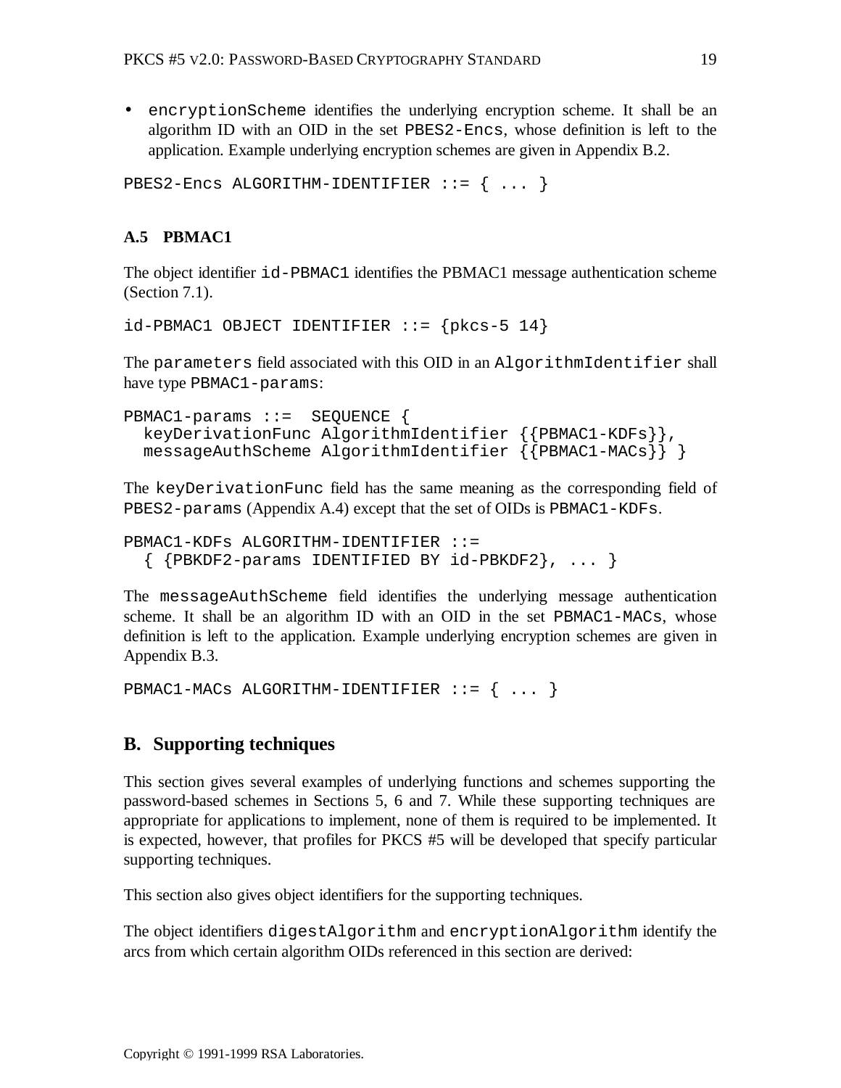• encryptionScheme identifies the underlying encryption scheme. It shall be an algorithm ID with an OID in the set PBES2-Encs, whose definition is left to the application. Example underlying encryption schemes are given in Appendix B.2.

```
PBES2-Encs ALGORITHM-IDENTIFIER ::= { ... }
```
#### **A.5 PBMAC1**

The object identifier id-PBMAC1 identifies the PBMAC1 message authentication scheme (Section 7.1).

```
id-PBMAC1 OBJECT IDENTIFIER ::= \{pkcs-5 14\}
```
The parameters field associated with this OID in an AlgorithmIdentifier shall have type PBMAC1-params:

```
PBMAC1-params ::= SEQUENCE {
   keyDerivationFunc AlgorithmIdentifier {{PBMAC1-KDFs}},
  messageAuthScheme AlgorithmIdentifier {{PBMAC1-MACs}} }
```
The keyDerivationFunc field has the same meaning as the corresponding field of PBES2-params (Appendix A.4) except that the set of OIDs is PBMAC1-KDFs.

```
PBMAC1-KDFs ALGORITHM-IDENTIFIER ::=
  \{ {PBKDF2-params IDENTIFIED BY id-PBKDF2}, ... }
```
The messageAuthScheme field identifies the underlying message authentication scheme. It shall be an algorithm ID with an OID in the set PBMAC1-MACs, whose definition is left to the application. Example underlying encryption schemes are given in Appendix B.3.

```
PBMAC1-MACs ALGORITHM-IDENTIFIER ::= { ... }
```
#### **B. Supporting techniques**

This section gives several examples of underlying functions and schemes supporting the password-based schemes in Sections 5, 6 and 7. While these supporting techniques are appropriate for applications to implement, none of them is required to be implemented. It is expected, however, that profiles for PKCS #5 will be developed that specify particular supporting techniques.

This section also gives object identifiers for the supporting techniques.

The object identifiers digestAlgorithm and encryptionAlgorithm identify the arcs from which certain algorithm OIDs referenced in this section are derived: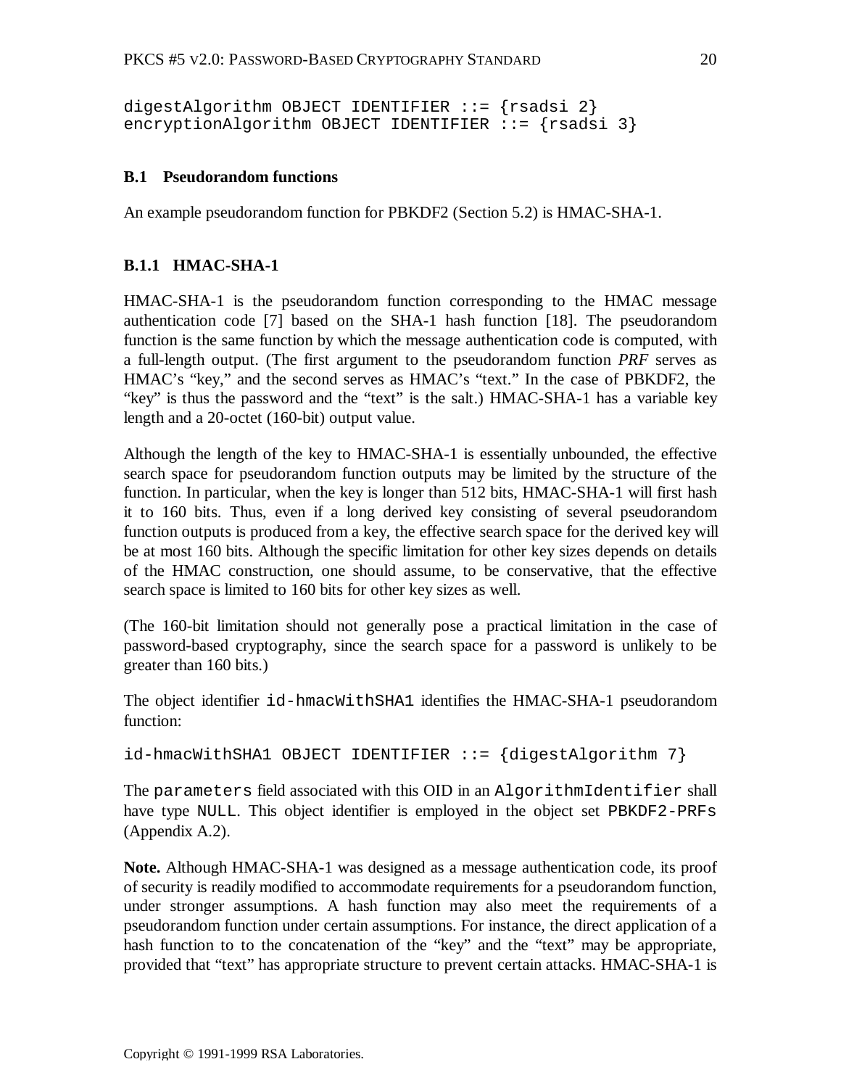```
digestAlgorithm OBJECT IDENTIFIER ::= {rsadsi 2}
encryptionAlgorithm OBJECT IDENTIFIER ::= {r}sadsi 3
```
#### **B.1 Pseudorandom functions**

An example pseudorandom function for PBKDF2 (Section 5.2) is HMAC-SHA-1.

#### **B.1.1 HMAC-SHA-1**

HMAC-SHA-1 is the pseudorandom function corresponding to the HMAC message authentication code [7] based on the SHA-1 hash function [18]. The pseudorandom function is the same function by which the message authentication code is computed, with a full-length output. (The first argument to the pseudorandom function *PRF* serves as HMAC's "key," and the second serves as HMAC's "text." In the case of PBKDF2, the "key" is thus the password and the "text" is the salt.) HMAC-SHA-1 has a variable key length and a 20-octet (160-bit) output value.

Although the length of the key to HMAC-SHA-1 is essentially unbounded, the effective search space for pseudorandom function outputs may be limited by the structure of the function. In particular, when the key is longer than 512 bits, HMAC-SHA-1 will first hash it to 160 bits. Thus, even if a long derived key consisting of several pseudorandom function outputs is produced from a key, the effective search space for the derived key will be at most 160 bits. Although the specific limitation for other key sizes depends on details of the HMAC construction, one should assume, to be conservative, that the effective search space is limited to 160 bits for other key sizes as well.

(The 160-bit limitation should not generally pose a practical limitation in the case of password-based cryptography, since the search space for a password is unlikely to be greater than 160 bits.)

The object identifier id-hmacWithSHA1 identifies the HMAC-SHA-1 pseudorandom function:

 $id$ -hmacWithSHA1 OBJECT IDENTIFIER ::=  $\{digestAlgorithm 7\}$ 

The parameters field associated with this OID in an AlgorithmIdentifier shall have type NULL. This object identifier is employed in the object set PBKDF2-PRFs (Appendix A.2).

**Note.** Although HMAC-SHA-1 was designed as a message authentication code, its proof of security is readily modified to accommodate requirements for a pseudorandom function, under stronger assumptions. A hash function may also meet the requirements of a pseudorandom function under certain assumptions. For instance, the direct application of a hash function to to the concatenation of the "key" and the "text" may be appropriate, provided that "text" has appropriate structure to prevent certain attacks. HMAC-SHA-1 is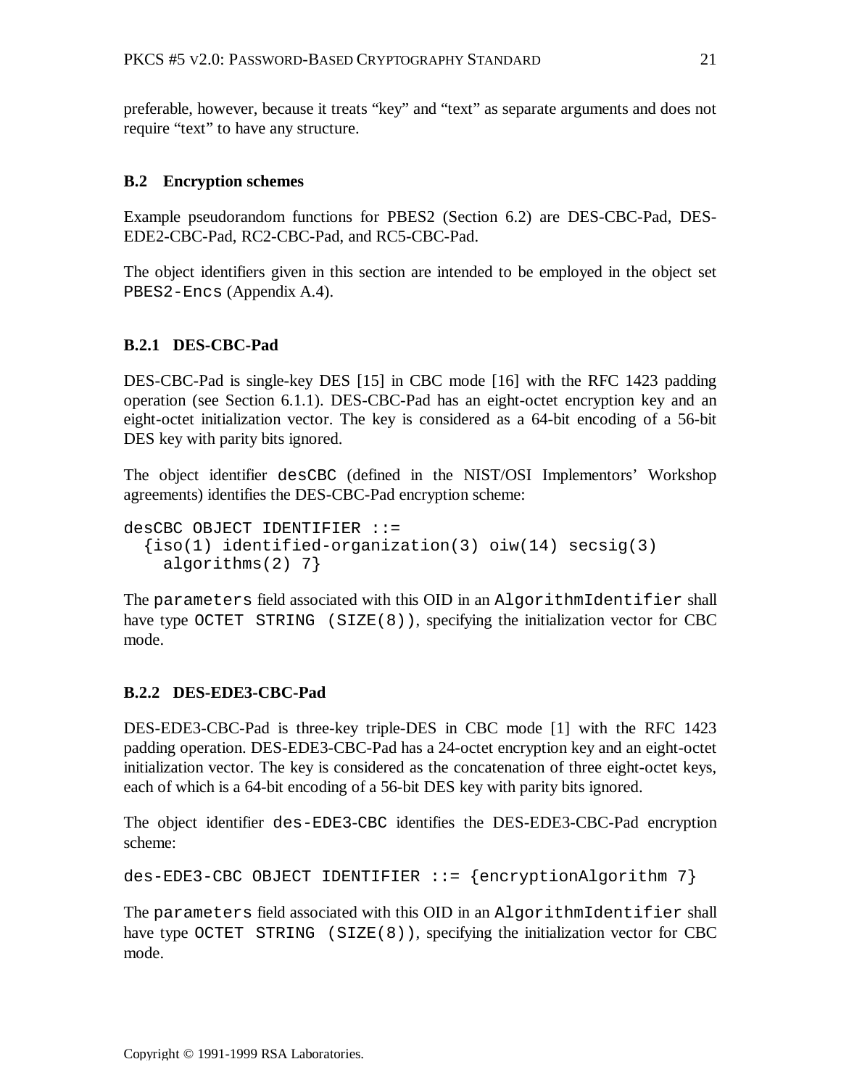preferable, however, because it treats "key" and "text" as separate arguments and does not require "text" to have any structure.

#### **B.2 Encryption schemes**

Example pseudorandom functions for PBES2 (Section 6.2) are DES-CBC-Pad, DES-EDE2-CBC-Pad, RC2-CBC-Pad, and RC5-CBC-Pad.

The object identifiers given in this section are intended to be employed in the object set PBES2-Encs (Appendix A.4).

#### **B.2.1 DES-CBC-Pad**

DES-CBC-Pad is single-key DES [15] in CBC mode [16] with the RFC 1423 padding operation (see Section 6.1.1). DES-CBC-Pad has an eight-octet encryption key and an eight-octet initialization vector. The key is considered as a 64-bit encoding of a 56-bit DES key with parity bits ignored.

The object identifier desCBC (defined in the NIST/OSI Implementors' Workshop agreements) identifies the DES-CBC-Pad encryption scheme:

```
desCBC OBJECT IDENTIFIER ::=
  {\text{iso}(1)} identified-organization(3) \text{oiw}(14) secsig(3)
     algorithms(2) 7}
```
The parameters field associated with this OID in an AlgorithmIdentifier shall have type OCTET STRING  $(SIZE(8))$ , specifying the initialization vector for CBC mode.

#### **B.2.2 DES-EDE3-CBC-Pad**

DES-EDE3-CBC-Pad is three-key triple-DES in CBC mode [1] with the RFC 1423 padding operation. DES-EDE3-CBC-Pad has a 24-octet encryption key and an eight-octet initialization vector. The key is considered as the concatenation of three eight-octet keys, each of which is a 64-bit encoding of a 56-bit DES key with parity bits ignored.

The object identifier des-EDE3-CBC identifies the DES-EDE3-CBC-Pad encryption scheme:

```
des-EDE3-CBC OBJECT IDENTIFIER ::= {encryptionAlgorithm 7}
```
The parameters field associated with this OID in an AlgorithmIdentifier shall have type OCTET STRING (SIZE(8)), specifying the initialization vector for CBC mode.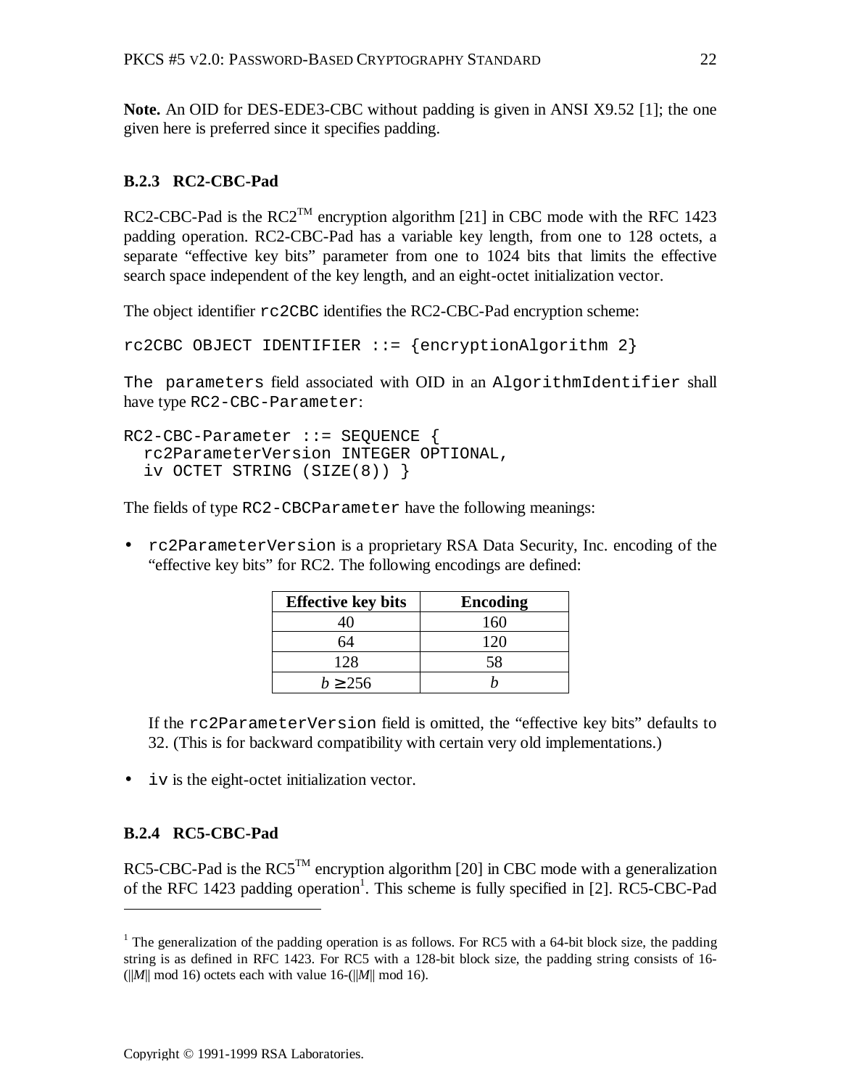**Note.** An OID for DES-EDE3-CBC without padding is given in ANSI X9.52 [1]; the one given here is preferred since it specifies padding.

#### **B.2.3 RC2-CBC-Pad**

RC2-CBC-Pad is the  $RC2^{TM}$  encryption algorithm [21] in CBC mode with the RFC 1423 padding operation. RC2-CBC-Pad has a variable key length, from one to 128 octets, a separate "effective key bits" parameter from one to 1024 bits that limits the effective search space independent of the key length, and an eight-octet initialization vector.

The object identifier rc2CBC identifies the RC2-CBC-Pad encryption scheme:

```
rc2CBC OBJECT IDENTIFIER ::= {encryptionAlgorithm 2}
```
The parameters field associated with OID in an AlgorithmIdentifier shall have type RC2-CBC-Parameter:

```
RC2-CBC-Parameter ::= SEQUENCE {
   rc2ParameterVersion INTEGER OPTIONAL,
   iv OCTET STRING (SIZE(8)) }
```
The fields of type RC2-CBCParameter have the following meanings:

• rc2ParameterVersion is a proprietary RSA Data Security, Inc. encoding of the "effective key bits" for RC2. The following encodings are defined:

| <b>Effective key bits</b> | <b>Encoding</b> |
|---------------------------|-----------------|
|                           | 160             |
| 54                        | 120             |
| 128                       | 58              |
| $b \ge 256$               |                 |

If the rc2ParameterVersion field is omitted, the "effective key bits" defaults to 32. (This is for backward compatibility with certain very old implementations.)

• iv is the eight-octet initialization vector.

#### **B.2.4 RC5-CBC-Pad**

 $\overline{a}$ 

RC5-CBC-Pad is the RC5<sup>TM</sup> encryption algorithm [20] in CBC mode with a generalization of the RFC 1423 padding operation<sup>1</sup>. This scheme is fully specified in [2]. RC5-CBC-Pad

<sup>&</sup>lt;sup>1</sup> The generalization of the padding operation is as follows. For RC5 with a 64-bit block size, the padding string is as defined in RFC 1423. For RC5 with a 128-bit block size, the padding string consists of 16-  $(||M|| \text{ mod } 16)$  octets each with value 16- $(||M|| \text{ mod } 16)$ .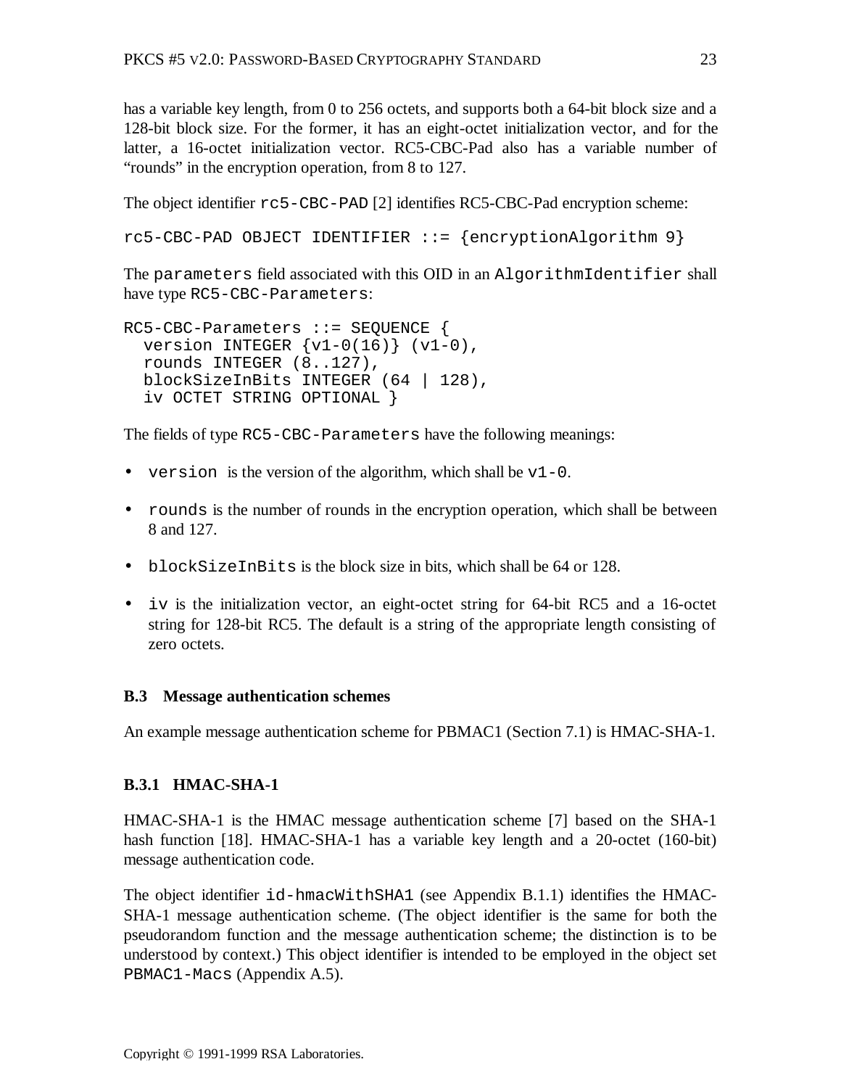has a variable key length, from 0 to 256 octets, and supports both a 64-bit block size and a 128-bit block size. For the former, it has an eight-octet initialization vector, and for the latter, a 16-octet initialization vector. RC5-CBC-Pad also has a variable number of "rounds" in the encryption operation, from 8 to 127.

The object identifier rc5-CBC-PAD [2] identifies RC5-CBC-Pad encryption scheme:

```
rc5-CBC-PAD OBJECT IDENTIFIER ::= {encryptionAlgorithm 9}
```
The parameters field associated with this OID in an AlgorithmIdentifier shall have type RC5-CBC-Parameters:

```
RC5-CBC-Parameters ::= SEQUENCE {
 version INTEGER \{v1-0(16)\} (v1-0),
  rounds INTEGER (8..127),
  blockSizeInBits INTEGER (64 | 128),
   iv OCTET STRING OPTIONAL }
```
The fields of type RC5-CBC-Parameters have the following meanings:

- version is the version of the algorithm, which shall be  $v1-0$ .
- rounds is the number of rounds in the encryption operation, which shall be between 8 and 127.
- blockSizeInBits is the block size in bits, which shall be 64 or 128.
- iv is the initialization vector, an eight-octet string for 64-bit RC5 and a 16-octet string for 128-bit RC5. The default is a string of the appropriate length consisting of zero octets.

#### **B.3 Message authentication schemes**

An example message authentication scheme for PBMAC1 (Section 7.1) is HMAC-SHA-1.

# **B.3.1 HMAC-SHA-1**

HMAC-SHA-1 is the HMAC message authentication scheme [7] based on the SHA-1 hash function [18]. HMAC-SHA-1 has a variable key length and a 20-octet (160-bit) message authentication code.

The object identifier id-hmacWithSHA1 (see Appendix B.1.1) identifies the HMAC-SHA-1 message authentication scheme. (The object identifier is the same for both the pseudorandom function and the message authentication scheme; the distinction is to be understood by context.) This object identifier is intended to be employed in the object set PBMAC1-Macs (Appendix A.5).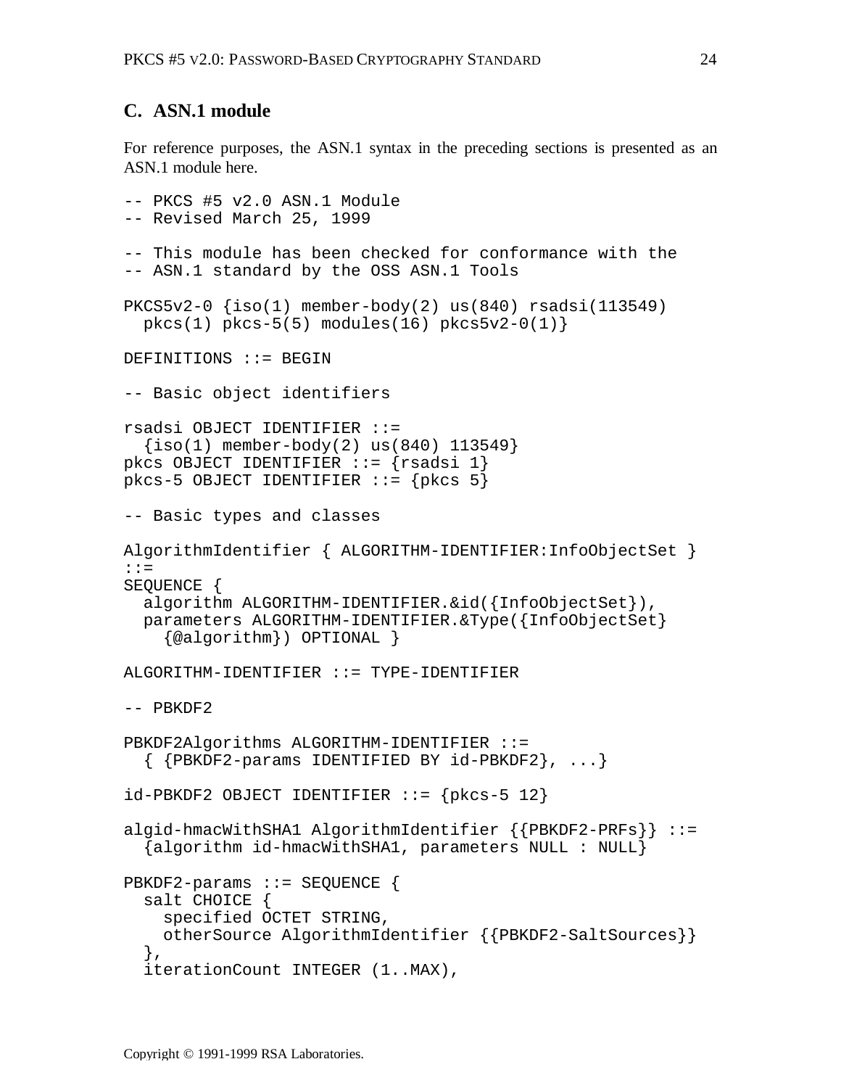# **C. ASN.1 module**

For reference purposes, the ASN.1 syntax in the preceding sections is presented as an ASN.1 module here.

```
-- PKCS #5 v2.0 ASN.1 Module
-- Revised March 25, 1999
-- This module has been checked for conformance with the
-- ASN.1 standard by the OSS ASN.1 Tools
PKCS5v2-0 {iso(1) member-body(2) us(840) rsadsi(113549)
  pkcs(1) pkcs-5(5) modules(16) pkcs5v2-0(1)DEFINITIONS ::= BEGIN
-- Basic object identifiers
rsadsi OBJECT IDENTIFIER ::=
  \{iso(1) member-body(2) us(840) 113549}
pkcs OBJECT IDENTIFIER ::= {rsadsi 1}
pkcs-5 OBJECT IDENTIFIER ::= {pkcs 5}
-- Basic types and classes
AlgorithmIdentifier { ALGORITHM-IDENTIFIER:InfoObjectSet }
::=
SEOUENCE {
   algorithm ALGORITHM-IDENTIFIER.&id({InfoObjectSet}),
   parameters ALGORITHM-IDENTIFIER.&Type({InfoObjectSet}
    \{@algorithm}\} OPTIONAL \}ALGORITHM-IDENTIFIER ::= TYPE-IDENTIFIER
-- PBKDF2
PBKDF2Algorithms ALGORITHM-IDENTIFIER ::=
   { {PBKDF2-params IDENTIFIED BY id-PBKDF2}, ...}
id-PBKDF2 OBJECT IDENTIFIER ::= {pkcs-5 12}
algid-hmacWithSHA1 AlgorithmIdentifier {{PBKDF2-PRFs}} ::=
   {algorithm id-hmacWithSHA1, parameters NULL : NULL}
PBKDF2-params ::= SEQUENCE {
   salt CHOICE {
     specified OCTET STRING,
     otherSource AlgorithmIdentifier {{PBKDF2-SaltSources}}
   },
   iterationCount INTEGER (1..MAX),
```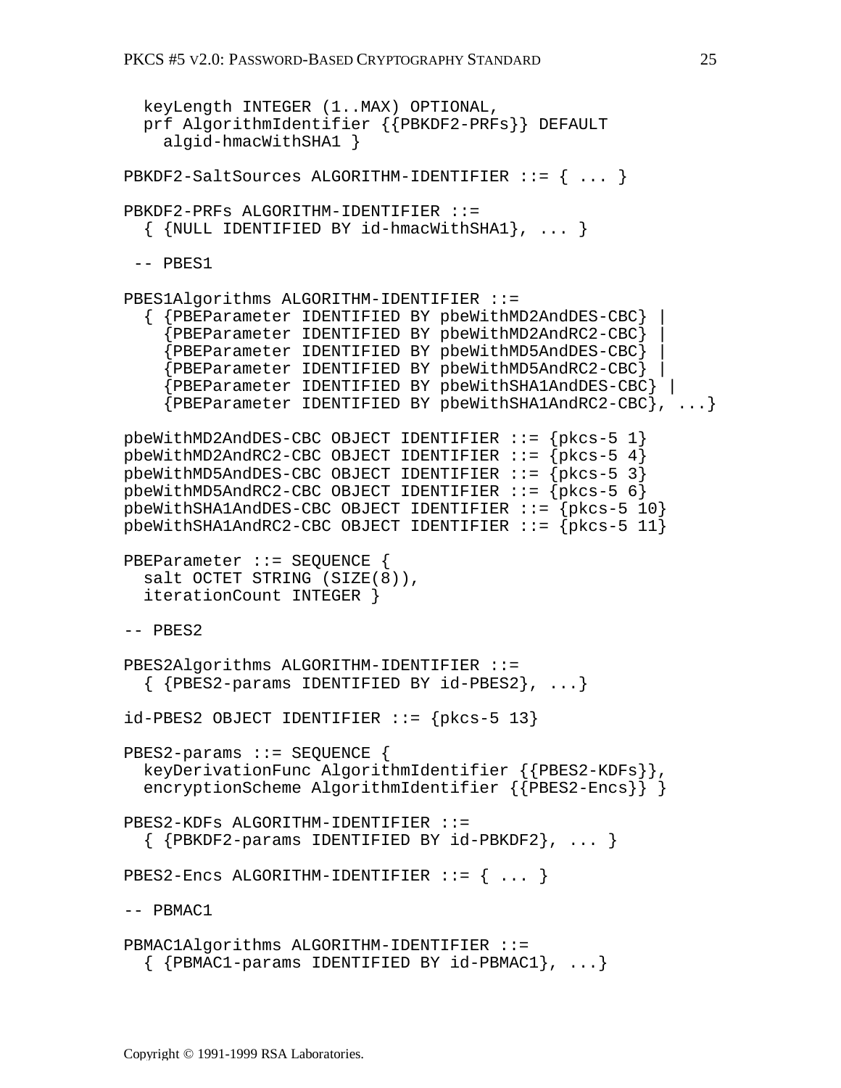```
 keyLength INTEGER (1..MAX) OPTIONAL,
   prf AlgorithmIdentifier {{PBKDF2-PRFs}} DEFAULT
     algid-hmacWithSHA1 }
PBKDF2-SaltSources ALGORITHM-IDENTIFIER ::= { ... }
PBKDF2-PRFs ALGORITHM-IDENTIFIER ::=
  \{ \{ NULL IDENTIFIED BY id-hmacWithSHA1\}, ... \} -- PBES1
PBES1Algorithms ALGORITHM-IDENTIFIER ::=
   { {PBEParameter IDENTIFIED BY pbeWithMD2AndDES-CBC} |
     {PBEParameter IDENTIFIED BY pbeWithMD2AndRC2-CBC} |
     {PBEParameter IDENTIFIED BY pbeWithMD5AndDES-CBC} |
     {PBEParameter IDENTIFIED BY pbeWithMD5AndRC2-CBC} |
     {PBEParameter IDENTIFIED BY pbeWithSHA1AndDES-CBC} |
     {PBEParameter IDENTIFIED BY pbeWithSHA1AndRC2-CBC}, ...}
pbeWithMD2AndDES-CBC OBJECT IDENTIFIER ::= {pkcs-5 1}
pbeWithMD2AndRC2-CBC OBJECT IDENTIFIER ::= {pkcs-5 4}
pbeWithMD5AndDES-CBC OBJECT IDENTIFIER ::= {pkcs-5 3}
pbeWithMD5AndRC2-CBC OBJECT IDENTIFIER ::= {pkcs-5 6}
pbeWithSHA1AndDES-CBC OBJECT IDENTIFIER ::= {pkcs-5 10}
pbeWithSHA1AndRC2-CBC OBJECT IDENTIFIER ::= {pkcs-5 11}
PBEParameter ::= SEQUENCE {
   salt OCTET STRING (SIZE(8)),
   iterationCount INTEGER }
-- PBES2
PBES2Algorithms ALGORITHM-IDENTIFIER ::=
  \{ {PBES2-params IDENTIFIED BY id-PBES2}, ...}
id-PBES2 OBJECT IDENTIFIER := \{pkcs-5 13\}PBES2-params ::= SEQUENCE {
   keyDerivationFunc AlgorithmIdentifier {{PBES2-KDFs}},
  encryptionScheme AlgorithmIdentifier {{PBES2-Encs}} }
PBES2-KDFs ALGORITHM-IDENTIFIER ::=
  \{ {PBKDF2-params IDENTIFIED BY id-PBKDF2}, ... }
PBES2-Encs ALGORITHM-IDENTIFIER ::= \{ \ldots \}-- PBMAC1
PBMAC1Algorithms ALGORITHM-IDENTIFIER ::=
  \{ {PBMAC1-params IDENTIFIED BY id-PBMAC1}, ...}
```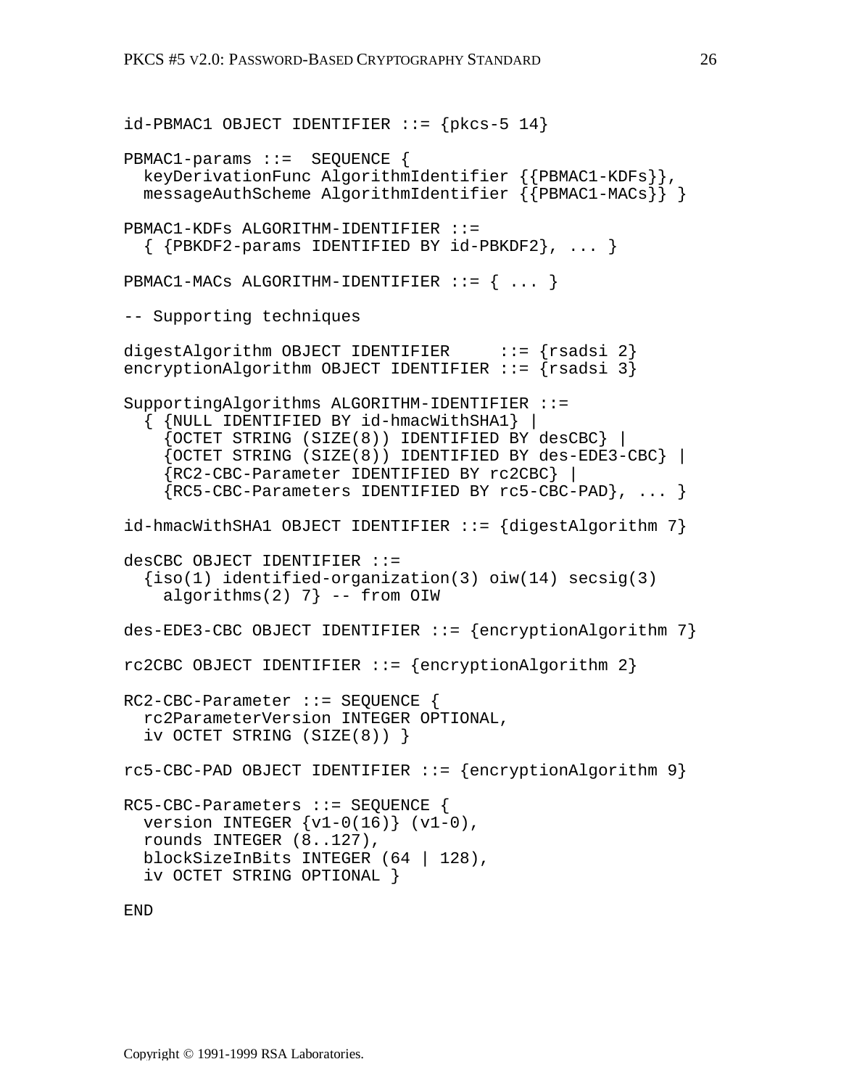```
id-PBMAC1 OBJECT IDENTIFIER ::= {pkcs-5 14}
PBMAC1-params ::= SEQUENCE {
   keyDerivationFunc AlgorithmIdentifier {{PBMAC1-KDFs}},
   messageAuthScheme AlgorithmIdentifier {{PBMAC1-MACs}} }
PBMAC1-KDFs ALGORITHM-IDENTIFIER ::=
   { {PBKDF2-params IDENTIFIED BY id-PBKDF2}, ... }
PBMAC1-MACs ALGORITHM-IDENTIFIER ::= { ... }
-- Supporting techniques
digestAlgorithm OBJECT IDENTIFIER ::= {rsadsi 2}
encryptionAlgorithm OBJECT IDENTIFIER ::= {rsadsi 3}
SupportingAlgorithms ALGORITHM-IDENTIFIER ::=
   { {NULL IDENTIFIED BY id-hmacWithSHA1} |
     {OCTET STRING (SIZE(8)) IDENTIFIED BY desCBC} |
     {OCTET STRING (SIZE(8)) IDENTIFIED BY des-EDE3-CBC} |
     {RC2-CBC-Parameter IDENTIFIED BY rc2CBC} |
     {RC5-CBC-Parameters IDENTIFIED BY rc5-CBC-PAD}, ... }
id-hmacWithSHA1 OBJECT IDENTIFIER ::= {digestAlgorithm 7}
desCBC OBJECT IDENTIFIER ::=
  {\text{iso}(1)} identified-organization(3) oiw(14) secsig(3)
    algorithms(2) 7} -- from OIW
des-EDE3-CBC OBJECT IDENTIFIER ::= {encryptionAlgorithm 7}
rc2CBC OBJECT IDENTIFIER ::= {encryptionAlgorithm 2}
RC2-CBC-Parameter ::= SEQUENCE {
   rc2ParameterVersion INTEGER OPTIONAL,
   iv OCTET STRING (SIZE(8)) }
rc5-CBC-PAD OBJECT IDENTIFIER ::= {encryptionAlgorithm 9}
RC5-CBC-Parameters ::= SEQUENCE {
  version INTEGER \{v1-0(16)\} (v1-0),
   rounds INTEGER (8..127),
   blockSizeInBits INTEGER (64 | 128),
   iv OCTET STRING OPTIONAL }
```
END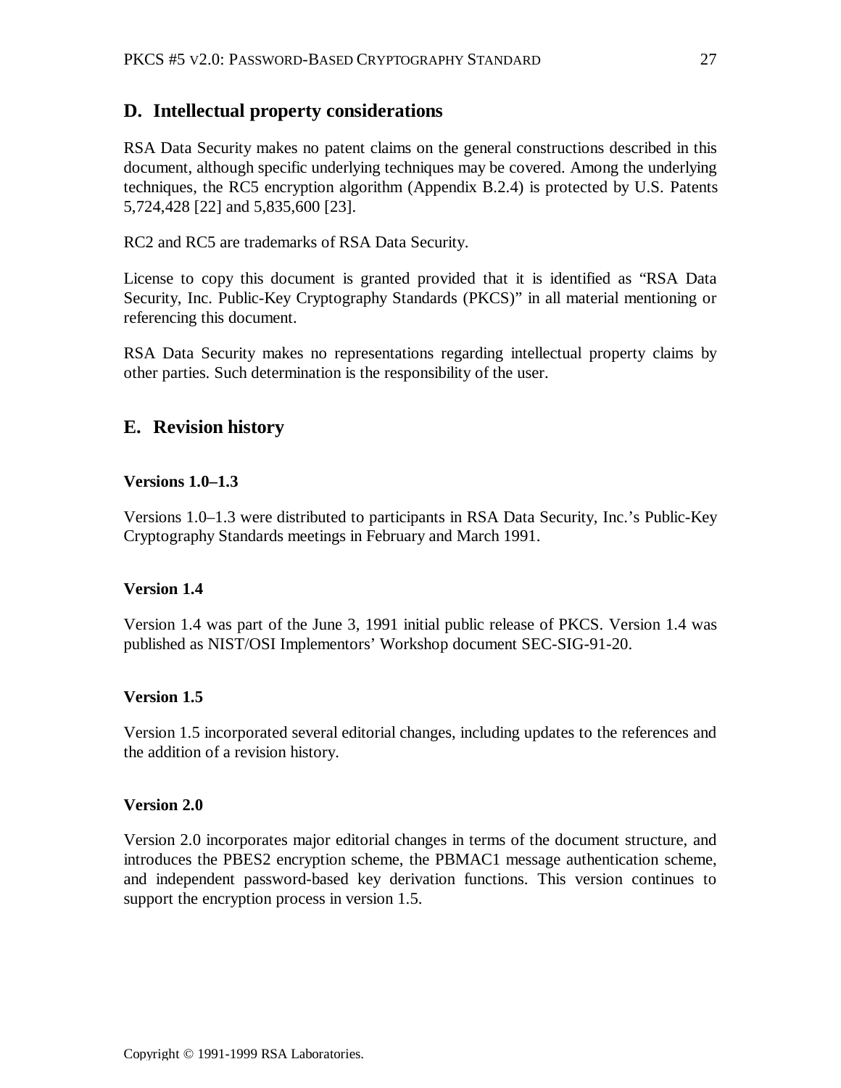# **D. Intellectual property considerations**

RSA Data Security makes no patent claims on the general constructions described in this document, although specific underlying techniques may be covered. Among the underlying techniques, the RC5 encryption algorithm (Appendix B.2.4) is protected by U.S. Patents 5,724,428 [22] and 5,835,600 [23].

RC2 and RC5 are trademarks of RSA Data Security.

License to copy this document is granted provided that it is identified as "RSA Data Security, Inc. Public-Key Cryptography Standards (PKCS)" in all material mentioning or referencing this document.

RSA Data Security makes no representations regarding intellectual property claims by other parties. Such determination is the responsibility of the user.

# **E. Revision history**

#### **Versions 1.0–1.3**

Versions 1.0–1.3 were distributed to participants in RSA Data Security, Inc.'s Public-Key Cryptography Standards meetings in February and March 1991.

#### **Version 1.4**

Version 1.4 was part of the June 3, 1991 initial public release of PKCS. Version 1.4 was published as NIST/OSI Implementors' Workshop document SEC-SIG-91-20.

#### **Version 1.5**

Version 1.5 incorporated several editorial changes, including updates to the references and the addition of a revision history.

#### **Version 2.0**

Version 2.0 incorporates major editorial changes in terms of the document structure, and introduces the PBES2 encryption scheme, the PBMAC1 message authentication scheme, and independent password-based key derivation functions. This version continues to support the encryption process in version 1.5.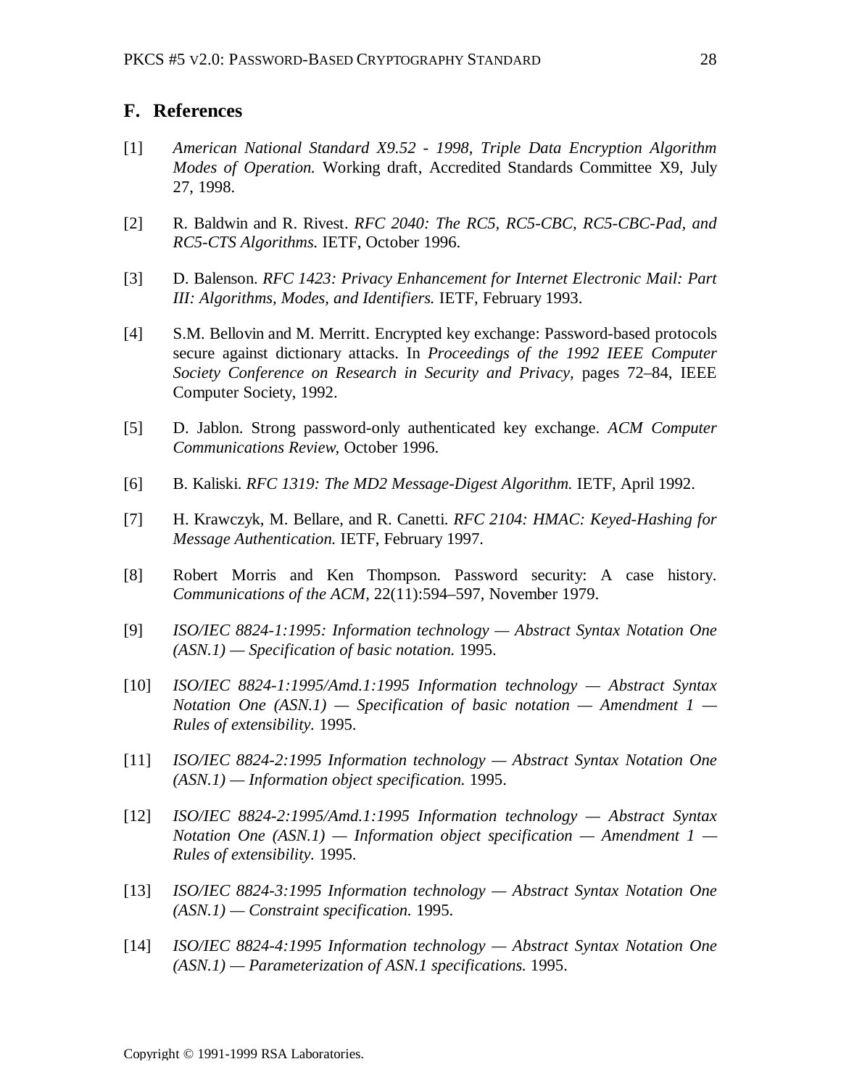#### **F. References**

- [1] *American National Standard X9.52 1998, Triple Data Encryption Algorithm Modes of Operation.* Working draft, Accredited Standards Committee X9, July 27, 1998.
- [2] R. Baldwin and R. Rivest. *RFC 2040: The RC5, RC5-CBC, RC5-CBC-Pad, and RC5-CTS Algorithms.* IETF, October 1996.
- [3] D. Balenson. *RFC 1423: Privacy Enhancement for Internet Electronic Mail: Part III: Algorithms, Modes, and Identifiers.* IETF, February 1993.
- [4] S.M. Bellovin and M. Merritt. Encrypted key exchange: Password-based protocols secure against dictionary attacks. In *Proceedings of the 1992 IEEE Computer Society Conference on Research in Security and Privacy,* pages 72–84, IEEE Computer Society, 1992.
- [5] D. Jablon. Strong password-only authenticated key exchange. *ACM Computer Communications Review,* October 1996.
- [6] B. Kaliski. *RFC 1319: The MD2 Message-Digest Algorithm.* IETF, April 1992.
- [7] H. Krawczyk, M. Bellare, and R. Canetti. *RFC 2104: HMAC: Keyed-Hashing for Message Authentication.* IETF, February 1997.
- [8] Robert Morris and Ken Thompson. Password security: A case history. *Communications of the ACM,* 22(11):594–597, November 1979.
- [9] *ISO/IEC 8824-1:1995: Information technology Abstract Syntax Notation One (ASN.1) — Specification of basic notation.* 1995.
- [10] *ISO/IEC 8824-1:1995/Amd.1:1995 Information technology Abstract Syntax Notation One (ASN.1) — Specification of basic notation — Amendment 1 — Rules of extensibility.* 1995.
- [11] *ISO/IEC 8824-2:1995 Information technology Abstract Syntax Notation One (ASN.1) — Information object specification.* 1995.
- [12] *ISO/IEC 8824-2:1995/Amd.1:1995 Information technology Abstract Syntax Notation One (ASN.1) — Information object specification — Amendment 1 — Rules of extensibility.* 1995.
- [13] *ISO/IEC 8824-3:1995 Information technology Abstract Syntax Notation One (ASN.1) — Constraint specification.* 1995.
- [14] *ISO/IEC 8824-4:1995 Information technology Abstract Syntax Notation One (ASN.1) — Parameterization of ASN.1 specifications.* 1995.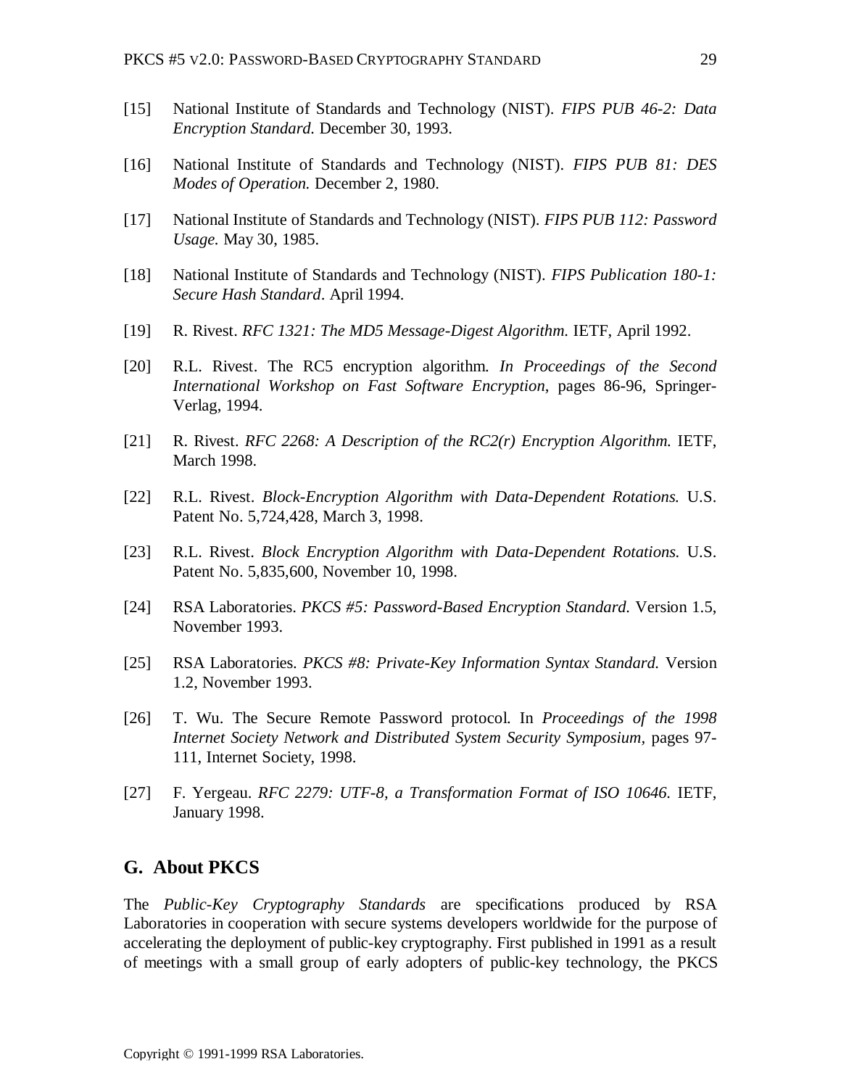- [15] National Institute of Standards and Technology (NIST). *FIPS PUB 46-2: Data Encryption Standard.* December 30, 1993.
- [16] National Institute of Standards and Technology (NIST). *FIPS PUB 81: DES Modes of Operation.* December 2, 1980.
- [17] National Institute of Standards and Technology (NIST). *FIPS PUB 112: Password Usage.* May 30, 1985.
- [18] National Institute of Standards and Technology (NIST). *FIPS Publication 180-1: Secure Hash Standard*. April 1994.
- [19] R. Rivest. *RFC 1321: The MD5 Message-Digest Algorithm.* IETF, April 1992.
- [20] R.L. Rivest. The RC5 encryption algorithm. *In Proceedings of the Second International Workshop on Fast Software Encryption*, pages 86-96, Springer-Verlag, 1994.
- [21] R. Rivest. *RFC 2268: A Description of the RC2(r) Encryption Algorithm.* IETF, March 1998.
- [22] R.L. Rivest. *Block-Encryption Algorithm with Data-Dependent Rotations.* U.S. Patent No. 5,724,428, March 3, 1998.
- [23] R.L. Rivest. *Block Encryption Algorithm with Data-Dependent Rotations.* U.S. Patent No. 5,835,600, November 10, 1998.
- [24] RSA Laboratories. *PKCS #5: Password-Based Encryption Standard.* Version 1.5, November 1993.
- [25] RSA Laboratories. *PKCS #8: Private-Key Information Syntax Standard.* Version 1.2, November 1993.
- [26] T. Wu. The Secure Remote Password protocol. In *Proceedings of the 1998 Internet Society Network and Distributed System Security Symposium,* pages 97- 111, Internet Society, 1998.
- [27] F. Yergeau. *RFC 2279: UTF-8, a Transformation Format of ISO 10646.* IETF, January 1998.

#### **G. About PKCS**

The *Public-Key Cryptography Standards* are specifications produced by RSA Laboratories in cooperation with secure systems developers worldwide for the purpose of accelerating the deployment of public-key cryptography. First published in 1991 as a result of meetings with a small group of early adopters of public-key technology, the PKCS